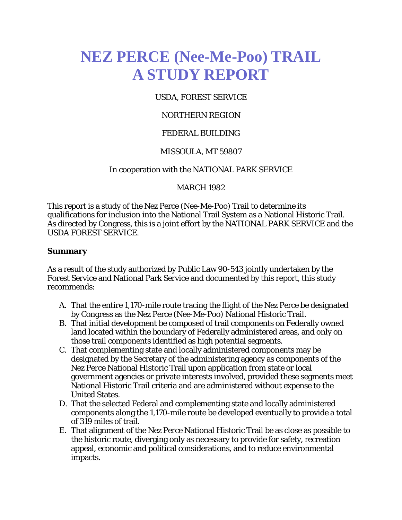# **NEZ PERCE (Nee-Me-Poo) TRAIL A STUDY REPORT**

#### USDA, FOREST SERVICE

#### NORTHERN REGION

#### FEDERAL BUILDING

#### MISSOULA, MT 59807

#### In cooperation with the NATIONAL PARK SERVICE

#### MARCH 1982

This report is a study of the Nez Perce (Nee-Me-Poo) Trail to determine its qualifications for inclusion into the National Trail System as a National Historic Trail. As directed by Congress, this is a joint effort by the NATIONAL PARK SERVICE and the USDA FOREST SERVICE.

#### **Summary**

As a result of the study authorized by Public Law 90-543 jointly undertaken by the Forest Service and National Park Service and documented by this report, this study recommends:

- A. That the entire 1,170-mile route tracing the flight of the Nez Perce be designated by Congress as the Nez Perce (Nee-Me-Poo) National Historic Trail.
- B. That initial development be composed of trail components on Federally owned land located within the boundary of Federally administered areas, and only on those trail components identified as high potential segments.
- C. That complementing state and locally administered components may be designated by the Secretary of the administering agency as components of the Nez Perce National Historic Trail upon application from state or local government agencies or private interests involved, provided these segments meet National Historic Trail criteria and are administered without expense to the United States.
- D. That the selected Federal and complementing state and locally administered components along the 1,170-mile route be developed eventually to provide a total of 319 miles of trail.
- E. That alignment of the Nez Perce National Historic Trail be as close as possible to the historic route, diverging only as necessary to provide for safety, recreation appeal, economic and political considerations, and to reduce environmental impacts.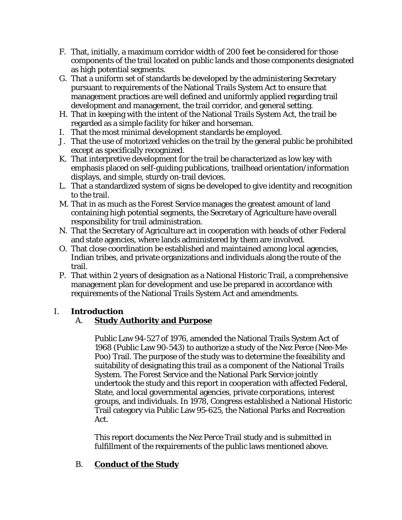- F. That, initially, a maximum corridor width of 200 feet be considered for those components of the trail located on public lands and those components designated as high potential segments.
- G. That a uniform set of standards be developed by the administering Secretary pursuant to requirements of the National Trails System Act to ensure that management practices are well defined and uniformly applied regarding trail development and management, the trail corridor, and general setting.
- H. That in keeping with the intent of the National Trails System Act, the trail be regarded as a simple facility for hiker and horseman.
- I. That the most minimal development standards be employed.
- J. That the use of motorized vehicles on the trail by the general public be prohibited except as specifically recognized.
- K. That interpretive development for the trail be characterized as low key with emphasis placed on self-guiding publications, trailhead orientation/information displays, and simple, sturdy on-trail devices.
- L. That a standardized system of signs be developed to give identity and recognition to the trail.
- M. That in as much as the Forest Service manages the greatest amount of land containing high potential segments, the Secretary of Agriculture have overall responsibility for trail administration.
- N. That the Secretary of Agriculture act in cooperation with heads of other Federal and state agencies, where lands administered by them are involved.
- O. That close coordination be established and maintained among local agencies, Indian tribes, and private organizations and individuals along the route of the trail.
- P. That within 2 years of designation as a National Historic Trail, a comprehensive management plan for development and use be prepared in accordance with requirements of the National Trails System Act and amendments.

#### I. **Introduction**

### A. **Study Authority and Purpose**

Public Law 94-527 of 1976, amended the National Trails System Act of 1968 (Public Law 90-543) to authorize a study of the Nez Perce (Nee-Me-Poo) Trail. The purpose of the study was to determine the feasibility and suitability of designating this trail as a component of the National Trails System. The Forest Service and the National Park Service jointly undertook the study and this report in cooperation with affected Federal, State, and local governmental agencies, private corporations, interest groups, and individuals. In 1978, Congress established a National Historic Trail category via Public Law 95-625, the National Parks and Recreation Act.

This report documents the Nez Perce Trail study and is submitted in fulfillment of the requirements of the public laws mentioned above.

#### B. **Conduct of the Study**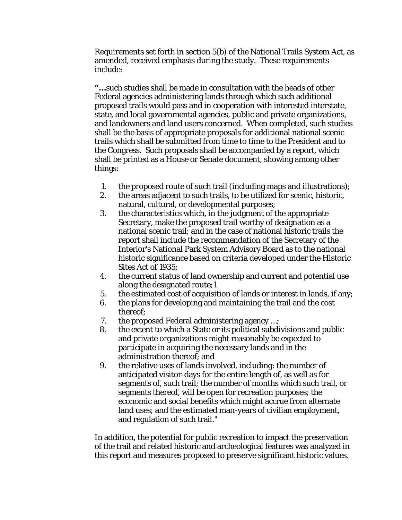Requirements set forth in section 5(b) of the National Trails System Act, as amended, received emphasis during the study. These requirements include:

**"…**such studies shall be made in consultation with the heads of other Federal agencies administering lands through which such additional proposed trails would pass and in cooperation with interested interstate, state, and local governmental agencies, public and private organizations, and landowners and land users concerned. When completed, such studies shall be the basis of appropriate proposals for additional national scenic trails which shall be submitted from time to time to the President and to the Congress. Such proposals shall be accompanied by a report, which shall be printed as a House or Senate document, showing among other things:

- 1. the proposed route of such trail (including maps and illustrations);
- 2. the areas adjacent to such trails, to be utilized for scenic, historic, natural, cultural, or developmental purposes;
- 3. the characteristics which, in the judgment of the appropriate Secretary, make the proposed trail worthy of designation as a national scenic trail; and in the case of national historic trails the report shall include the recommendation of the Secretary of the Interior's National Park System Advisory Board as to the national historic significance based on criteria developed under the Historic Sites Act of 1935;
- 4. the current status of land ownership and current and potential use along the designated route;1
- 5. the estimated cost of acquisition of lands or interest in lands, if any;
- 6. the plans for developing and maintaining the trail and the cost thereof;
- 7. the proposed Federal administering agency …;
- 8. the extent to which a State or its political subdivisions and public and private organizations might reasonably be expected to participate in acquiring the necessary lands and in the administration thereof; and
- 9. the relative uses of lands involved, including: the number of anticipated visitor-days for the entire length of, as well as for segments of, such trail; the number of months which such trail, or segments thereof, will be open for recreation purposes; the economic and social benefits which might accrue from alternate land uses; and the estimated man-years of civilian employment, and regulation of such trail."

In addition, the potential for public recreation to impact the preservation of the trail and related historic and archeological features was analyzed in this report and measures proposed to preserve significant historic values.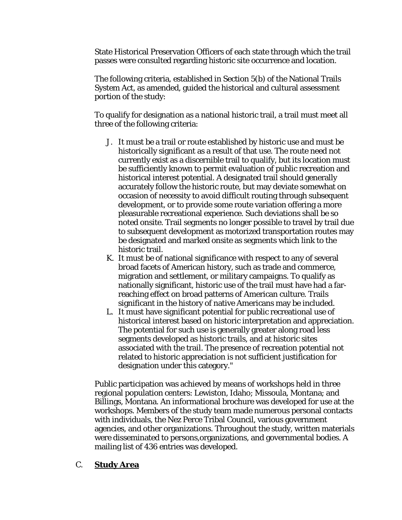State Historical Preservation Officers of each state through which the trail passes were consulted regarding historic site occurrence and location.

The following criteria, established in Section 5(b) of the National Trails System Act, as amended, guided the historical and cultural assessment portion of the study:

To qualify for designation as a national historic trail, a trail must meet all three of the following criteria:

- J. It must be a trail or route established by historic use and must be historically significant as a result of that use. The route need not currently exist as a discernible trail to qualify, but its location must be sufficiently known to permit evaluation of public recreation and historical interest potential. A designated trail should generally accurately follow the historic route, but may deviate somewhat on occasion of necessity to avoid difficult routing through subsequent development, or to provide some route variation offering a more pleasurable recreational experience. Such deviations shall be so noted onsite. Trail segments no longer possible to travel by trail due to subsequent development as motorized transportation routes may be designated and marked onsite as segments which link to the historic trail.
- K. It must be of national significance with respect to any of several broad facets of American history, such as trade and commerce, migration and settlement, or military campaigns. To qualify as nationally significant, historic use of the trail must have had a farreaching effect on broad patterns of American culture. Trails significant in the history of native Americans may be included.
- L. It must have significant potential for public recreational use of historical interest based on historic interpretation and appreciation. The potential for such use is generally greater along road less segments developed as historic trails, and at historic sites associated with the trail. The presence of recreation potential not related to historic appreciation is not sufficient justification for designation under this category."

Public participation was achieved by means of workshops held in three regional population centers: Lewiston, Idaho; Missoula, Montana; and Billings, Montana. An informational brochure was developed for use at the workshops. Members of the study team made numerous personal contacts with individuals, the Nez Perce Tribal Council, various government agencies, and other organizations. Throughout the study, written materials were disseminated to persons,organizations, and governmental bodies. A mailing list of 436 entries was developed.

#### C. **Study Area**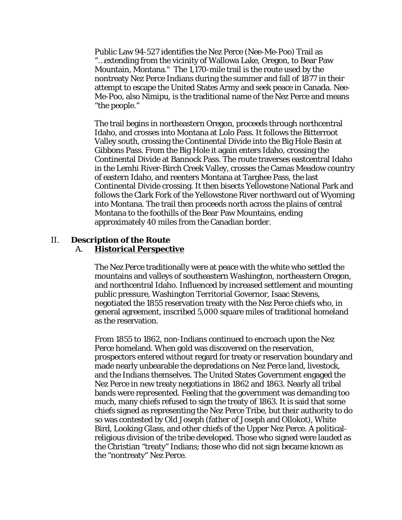Public Law 94-527 identifies the Nez Perce (Nee-Me-Poo) Trail as "…extending from the vicinity of Wallowa Lake, Oregon, to Bear Paw Mountain, Montana." The 1,170-mile trail is the route used by the nontreaty Nez Perce Indians during the summer and fall of 1877 in their attempt to escape the United States Army and seek peace in Canada. Nee-Me-Poo, also Nimipu, is the traditional name of the Nez Perce and means "the people."

The trail begins in northeastern Oregon, proceeds through northcentral Idaho, and crosses into Montana at Lolo Pass. It follows the Bitterroot Valley south, crossing the Continental Divide into the Big Hole Basin at Gibbons Pass. From the Big Hole it again enters Idaho, crossing the Continental Divide at Bannock Pass. The route traverses eastcentral Idaho in the Lemhi River-Birch Creek Valley, crosses the Camas Meadow country of eastern Idaho, and reenters Montana at Targhee Pass, the last Continental Divide crossing. It then bisects Yellowstone National Park and follows the Clark Fork of the Yellowstone River northward out of Wyoming into Montana. The trail then proceeds north across the plains of central Montana to the foothills of the Bear Paw Mountains, ending approximately 40 miles from the Canadian border.

#### II. **Description of the Route**

#### A. **Historical Perspective**

The Nez Perce traditionally were at peace with the white who settled the mountains and valleys of southeastern Washington, northeastern Oregon, and northcentral Idaho. Influenced by increased settlement and mounting public pressure, Washington Territorial Governor, Isaac Stevens, negotiated the 1855 reservation treaty with the Nez Perce chiefs who, in general agreement, inscribed 5,000 square miles of traditional homeland as the reservation.

From 1855 to 1862, non-Indians continued to encroach upon the Nez Perce homeland. When gold was discovered on the reservation, prospectors entered without regard for treaty or reservation boundary and made nearly unbearable the depredations on Nez Perce land, livestock, and the Indians themselves. The United States Government engaged the Nez Perce in new treaty negotiations in 1862 and 1863. Nearly all tribal bands were represented. Feeling that the government was demanding too much, many chiefs refused to sign the treaty of 1863. It is said that some chiefs signed as representing the Nez Perce Tribe, but their authority to do so was contested by Old Joseph (father of Joseph and Ollokot), White Bird, Looking Glass, and other chiefs of the Upper Nez Perce. A politicalreligious division of the tribe developed. Those who signed were lauded as the Christian "treaty" Indians; those who did not sign became known as the "nontreaty" Nez Perce.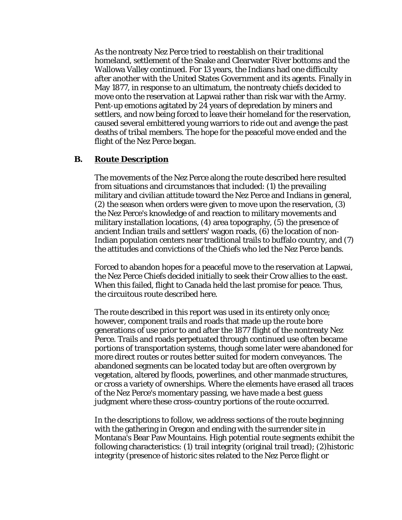As the nontreaty Nez Perce tried to reestablish on their traditional homeland, settlement of the Snake and Clearwater River bottoms and the Wallowa Valley continued. For 13 years, the Indians had one difficulty after another with the United States Government and its agents. Finally in May 1877, in response to an ultimatum, the nontreaty chiefs decided to move onto the reservation at Lapwai rather than risk war with the Army. Pent-up emotions agitated by 24 years of depredation by miners and settlers, and now being forced to leave their homeland for the reservation, caused several embittered young warriors to ride out and avenge the past deaths of tribal members. The hope for the peaceful move ended and the flight of the Nez Perce began.

#### **B. Route Description**

The movements of the Nez Perce along the route described here resulted from situations and circumstances that included: (1) the prevailing military and civilian attitude toward the Nez Perce and Indians in general, (2) the season when orders were given to move upon the reservation, (3) the Nez Perce's knowledge of and reaction to military movements and military installation locations, (4) area topography, (5) the presence of ancient Indian trails and settlers' wagon roads, (6) the location of non-Indian population centers near traditional trails to buffalo country, and (7) the attitudes and convictions of the Chiefs who led the Nez Perce bands.

Forced to abandon hopes for a peaceful move to the reservation at Lapwai, the Nez Perce Chiefs decided initially to seek their Crow allies to the east. When this failed, flight to Canada held the last promise for peace. Thus, the circuitous route described here.

The route described in this report was used in its entirety only once; however, component trails and roads that made up the route bore generations of use prior to and after the 1877 flight of the nontreaty Nez Perce. Trails and roads perpetuated through continued use often became portions of transportation systems, though some later were abandoned for more direct routes or routes better suited for modern conveyances. The abandoned segments can be located today but are often overgrown by vegetation, altered by floods, powerlines, and other manmade structures, or cross a variety of ownerships. Where the elements have erased all traces of the Nez Perce's momentary passing, we have made a best guess judgment where these cross-country portions of the route occurred.

In the descriptions to follow, we address sections of the route beginning with the gathering in Oregon and ending with the surrender site in Montana's Bear Paw Mountains. High potential route segments exhibit the following characteristics: (1) trail integrity (original trail tread); (2)historic integrity (presence of historic sites related to the Nez Perce flight or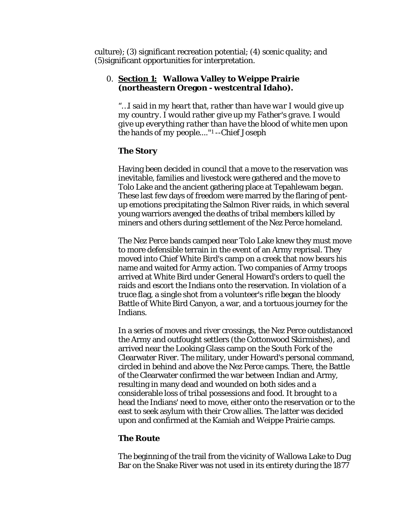culture); (3) significant recreation potential; (4) scenic quality; and (5)significant opportunities for interpretation.

#### 0. **Section 1: Wallowa Valley to Weippe Prairie (northeastern Oregon - westcentral Idaho).**

*"…I said in my heart that, rather than have war I would give up my country. I would rather give up my Father's grave. I would give up everything rather than have the blood of white men upon the hands of my people...."*<sup>1</sup> --Chief Joseph

#### **The Story**

Having been decided in council that a move to the reservation was inevitable, families and livestock were gathered and the move to Tolo Lake and the ancient gathering place at Tepahlewam began. These last few days of freedom were marred by the flaring of pentup emotions precipitating the Salmon River raids, in which several young warriors avenged the deaths of tribal members killed by miners and others during settlement of the Nez Perce homeland.

The Nez Perce bands camped near Tolo Lake knew they must move to more defensible terrain in the event of an Army reprisal. They moved into Chief White Bird's camp on a creek that now bears his name and waited for Army action. Two companies of Army troops arrived at White Bird under General Howard's orders to quell the raids and escort the Indians onto the reservation. In violation of a truce flag, a single shot from a volunteer's rifle began the bloody Battle of White Bird Canyon, a war, and a tortuous journey for the Indians.

In a series of moves and river crossings, the Nez Perce outdistanced the Army and outfought settlers (the Cottonwood Skirmishes), and arrived near the Looking Glass camp on the South Fork of the Clearwater River. The military, under Howard's personal command, circled in behind and above the Nez Perce camps. There, the Battle of the Clearwater confirmed the war between Indian and Army, resulting in many dead and wounded on both sides and a considerable loss of tribal possessions and food. It brought to a head the Indians' need to move, either onto the reservation or to the east to seek asylum with their Crow allies. The latter was decided upon and confirmed at the Kamiah and Weippe Prairie camps.

#### **The Route**

The beginning of the trail from the vicinity of Wallowa Lake to Dug Bar on the Snake River was not used in its entirety during the 1877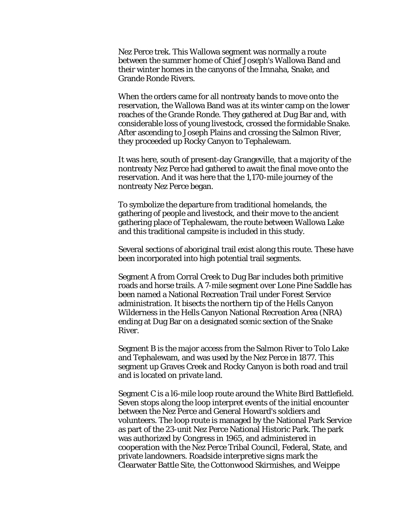Nez Perce trek. This Wallowa segment was normally a route between the summer home of Chief Joseph's Wallowa Band and their winter homes in the canyons of the Imnaha, Snake, and Grande Ronde Rivers.

When the orders came for all nontreaty bands to move onto the reservation, the Wallowa Band was at its winter camp on the lower reaches of the Grande Ronde. They gathered at Dug Bar and, with considerable loss of young livestock, crossed the formidable Snake. After ascending to Joseph Plains and crossing the Salmon River, they proceeded up Rocky Canyon to Tephalewam.

It was here, south of present-day Grangeville, that a majority of the nontreaty Nez Perce had gathered to await the final move onto the reservation. And it was here that the 1,170-mile journey of the nontreaty Nez Perce began.

To symbolize the departure from traditional homelands, the gathering of people and livestock, and their move to the ancient gathering place of Tephalewam, the route between Wallowa Lake and this traditional campsite is included in this study.

Several sections of aboriginal trail exist along this route. These have been incorporated into high potential trail segments.

Segment A from Corral Creek to Dug Bar includes both primitive roads and horse trails. A 7-mile segment over Lone Pine Saddle has been named a National Recreation Trail under Forest Service administration. It bisects the northern tip of the Hells Canyon Wilderness in the Hells Canyon National Recreation Area (NRA) ending at Dug Bar on a designated scenic section of the Snake River.

Segment B is the major access from the Salmon River to Tolo Lake and Tephalewam, and was used by the Nez Perce in 1877. This segment up Graves Creek and Rocky Canyon is both road and trail and is located on private land.

Segment C is a l6-mile loop route around the White Bird Battlefield. Seven stops along the loop interpret events of the initial encounter between the Nez Perce and General Howard's soldiers and volunteers. The loop route is managed by the National Park Service as part of the 23-unit Nez Perce National Historic Park. The park was authorized by Congress in 1965, and administered in cooperation with the Nez Perce Tribal Council, Federal, State, and private landowners. Roadside interpretive signs mark the Clearwater Battle Site, the Cottonwood Skirmishes, and Weippe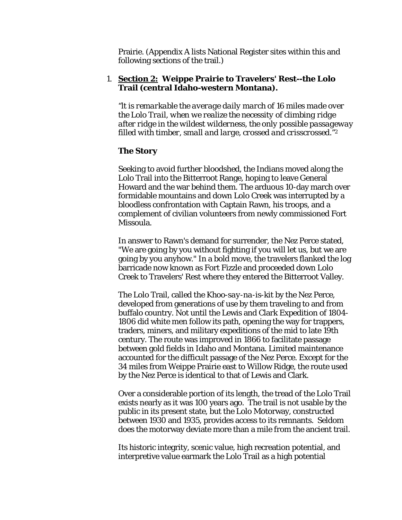Prairie. (Appendix A lists National Register sites within this and following sections of the trail.)

#### 1. **Section 2: Weippe Prairie to Travelers' Rest--the Lolo Trail (central Idaho-western Montana).**

*"lt is remarkable the average daily march of 16 miles made over the Lolo Trail, when we realize the necessity of climbing ridge after ridge in the wildest wilderness, the only possible passageway filled with timber, small and large, crossed and crisscrossed."2*

#### **The Story**

Seeking to avoid further bloodshed, the Indians moved along the Lolo Trail into the Bitterroot Range, hoping to leave General Howard and the war behind them. The arduous 10-day march over formidable mountains and down Lolo Creek was interrupted by a bloodless confrontation with Captain Rawn, his troops, and a complement of civilian volunteers from newly commissioned Fort Missoula.

In answer to Rawn's demand for surrender, the Nez Perce stated, "We are going by you without fighting if you will let us, but we are going by you anyhow." In a bold move, the travelers flanked the log barricade now known as Fort Fizzle and proceeded down Lolo Creek to Travelers' Rest where they entered the Bitterroot Valley.

The Lolo Trail, called the *Khoo-say-na-is-kit* by the Nez Perce, developed from generations of use by them traveling to and from buffalo country. Not until the Lewis and Clark Expedition of 1804- 1806 did white men follow its path, opening the way for trappers, traders, miners, and military expeditions of the mid to late 19th century. The route was improved in 1866 to facilitate passage between gold fields in Idaho and Montana. Limited maintenance accounted for the difficult passage of the Nez Perce. Except for the 34 miles from Weippe Prairie east to Willow Ridge, the route used by the Nez Perce is identical to that of Lewis and Clark.

Over a considerable portion of its length, the tread of the Lolo Trail exists nearly as it was 100 years ago. The trail is not usable by the public in its present state, but the Lolo Motorway, constructed between 1930 and 1935, provides access to its remnants. Seldom does the motorway deviate more than a mile from the ancient trail.

Its historic integrity, scenic value, high recreation potential, and interpretive value earmark the Lolo Trail as a high potential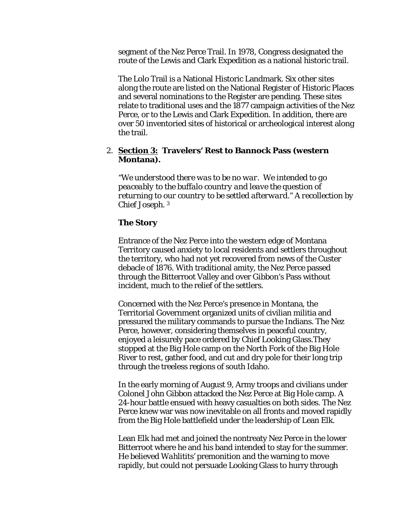segment of the Nez Perce Trail. In 1978, Congress designated the route of the Lewis and Clark Expedition as a national historic trail.

The Lolo Trail is a National Historic Landmark. Six other sites along the route are listed on the National Register of Historic Places and several nominations to the Register are pending. These sites relate to traditional uses and the 1877 campaign activities of the Nez Perce, or to the Lewis and Clark Expedition. In addition, there are over 50 inventoried sites of historical or archeological interest along the trail.

#### 2. **Section 3: Travelers' Rest to Bannock Pass (western Montana).**

*"We understood there was to be no war. We intended to go peaceably to the buffalo country and leave the question of returning to our country to be settled afterward." A recollection by Chief Joseph.* <sup>3</sup>

#### **The Story**

Entrance of the Nez Perce into the western edge of Montana Territory caused anxiety to local residents and settlers throughout the territory, who had not yet recovered from news of the Custer debacle of 1876. With traditional amity, the Nez Perce passed through the Bitterroot Valley and over Gibbon's Pass without incident, much to the relief of the settlers.

Concerned with the Nez Perce's presence in Montana, the Territorial Government organized units of civilian militia and pressured the military commands to pursue the Indians. The Nez Perce, however, considering themselves in peaceful country, enjoyed a leisurely pace ordered by Chief Looking Glass.They stopped at the Big Hole camp on the North Fork of the Big Hole River to rest, gather food, and cut and dry pole for their long trip through the treeless regions of south Idaho.

In the early morning of August 9, Army troops and civilians under Colonel John Gibbon attacked the Nez Perce at Big Hole camp. A 24-hour battle ensued with heavy casualties on both sides. The Nez Perce knew war was now inevitable on all fronts and moved rapidly from the Big Hole battlefield under the leadership of Lean Elk.

Lean Elk had met and joined the nontreaty Nez Perce in the lower Bitterroot where he and his band intended to stay for the summer. He believed *Wahlitits'* premonition and the warning to move rapidly, but could not persuade Looking Glass to hurry through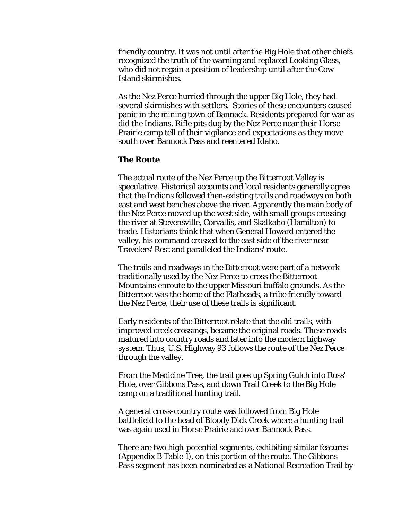friendly country. It was not until after the Big Hole that other chiefs recognized the truth of the warning and replaced Looking Glass, who did not regain a position of leadership until after the Cow Island skirmishes.

As the Nez Perce hurried through the upper Big Hole, they had several skirmishes with settlers. Stories of these encounters caused panic in the mining town of Bannack. Residents prepared for war as did the Indians. Rifle pits dug by the Nez Perce near their Horse Prairie camp tell of their vigilance and expectations as they move south over Bannock Pass and reentered Idaho.

#### **The Route**

The actual route of the Nez Perce up the Bitterroot Valley is speculative. Historical accounts and local residents generally agree that the Indians followed then-existing trails and roadways on both east and west benches above the river. Apparently the main body of the Nez Perce moved up the west side, with small groups crossing the river at Stevensville, Corvallis, and Skalkaho (Hamilton) to trade. Historians think that when General Howard entered the valley, his command crossed to the east side of the river near Travelers' Rest and paralleled the Indians' route.

The trails and roadways in the Bitterroot were part of a network traditionally used by the Nez Perce to cross the Bitterroot Mountains enroute to the upper Missouri buffalo grounds. As the Bitterroot was the home of the Flatheads, a tribe friendly toward the Nez Perce, their use of these trails is significant.

Early residents of the Bitterroot relate that the old trails, with improved creek crossings, became the original roads. These roads matured into country roads and later into the modern highway system. Thus, U.S. Highway 93 follows the route of the Nez Perce through the valley.

From the Medicine Tree, the trail goes up Spring Gulch into Ross' Hole, over Gibbons Pass, and down Trail Creek to the Big Hole camp on a traditional hunting trail.

A general cross-country route was followed from Big Hole battlefield to the head of Bloody Dick Creek where a hunting trail was again used in Horse Prairie and over Bannock Pass.

There are two high-potential segments, exhibiting similar features (Appendix B Table 1), on this portion of the route. The Gibbons Pass segment has been nominated as a National Recreation Trail by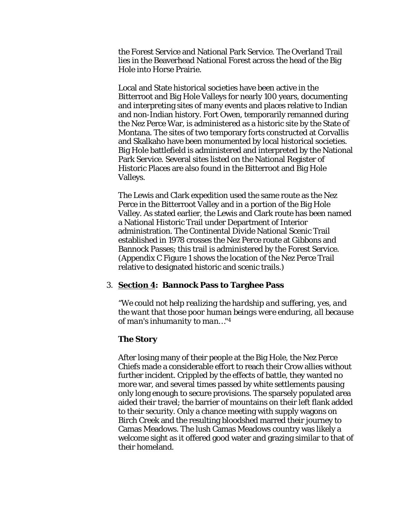the Forest Service and National Park Service. The Overland Trail lies in the Beaverhead National Forest across the head of the Big Hole into Horse Prairie.

Local and State historical societies have been active in the Bitterroot and Big Hole Valleys for nearly 100 years, documenting and interpreting sites of many events and places relative to Indian and non-Indian history. Fort Owen, temporarily remanned during the Nez Perce War, is administered as a historic site by the State of Montana. The sites of two temporary forts constructed at Corvallis and Skalkaho have been monumented by local historical societies. Big Hole battlefield is administered and interpreted by the National Park Service. Several sites listed on the National Register of Historic Places are also found in the Bitterroot and Big Hole Valleys.

The Lewis and Clark expedition used the same route as the Nez Perce in the Bitterroot Valley and in a portion of the Big Hole Valley. As stated earlier, the Lewis and Clark route has been named a National Historic Trail under Department of Interior administration. The Continental Divide National Scenic Trail established in 1978 crosses the Nez Perce route at Gibbons and Bannock Passes; this trail is administered by the Forest Service. (Appendix C Figure 1 shows the location of the Nez Perce Trail relative to designated historic and scenic trails.)

#### 3. **Section 4: Bannock Pass to Targhee Pass**

*"We could not help realizing the hardship and suffering, yes, and the want that those poor human beings were enduring, all because of man's inhumanity to man…"*<sup>4</sup>

#### **The Story**

After losing many of their people at the Big Hole, the Nez Perce Chiefs made a considerable effort to reach their Crow allies without further incident. Crippled by the effects of battle, they wanted no more war, and several times passed by white settlements pausing only long enough to secure provisions. The sparsely populated area aided their travel; the barrier of mountains on their left flank added to their security. Only a chance meeting with supply wagons on Birch Creek and the resulting bloodshed marred their journey to Camas Meadows. The lush Camas Meadows country was likely a welcome sight as it offered good water and grazing similar to that of their homeland.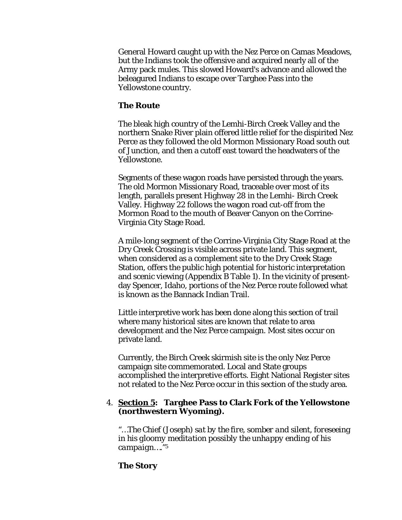General Howard caught up with the Nez Perce on Camas Meadows, but the Indians took the offensive and acquired nearly all of the Army pack mules. This slowed Howard's advance and allowed the beleagured Indians to escape over Targhee Pass into the Yellowstone country.

#### **The Route**

The bleak high country of the Lemhi-Birch Creek Valley and the northern Snake River plain offered little relief for the dispirited Nez Perce as they followed the old Mormon Missionary Road south out of Junction, and then a cutoff east toward the headwaters of the Yellowstone.

Segments of these wagon roads have persisted through the years. The old Mormon Missionary Road, traceable over most of its length, parallels present Highway 28 in the Lemhi- Birch Creek Valley. Highway 22 follows the wagon road cut-off from the Mormon Road to the mouth of Beaver Canyon on the Corrine-Virginia City Stage Road.

A mile-long segment of the Corrine-Virginia City Stage Road at the Dry Creek Crossing is visible across private land. This segment, when considered as a complement site to the Dry Creek Stage Station, offers the public high potential for historic interpretation and scenic viewing (Appendix B Table 1). In the vicinity of presentday Spencer, Idaho, portions of the Nez Perce route followed what is known as the Bannack Indian Trail.

Little interpretive work has been done along this section of trail where many historical sites are known that relate to area development and the Nez Perce campaign. Most sites occur on private land.

Currently, the Birch Creek skirmish site is the only Nez Perce campaign site commemorated. Local and State groups accomplished the interpretive efforts. Eight National Register sites not related to the Nez Perce occur in this section of the study area.

#### 4. **Section 5: Targhee Pass to Clark Fork of the Yellowstone (northwestern Wyoming).**

*"…The Chief (Joseph) sat by the fire, somber and silent, foreseeing in his gloomy meditation possibly the unhappy ending of his campaign…."*<sup>5</sup>

#### **The Story**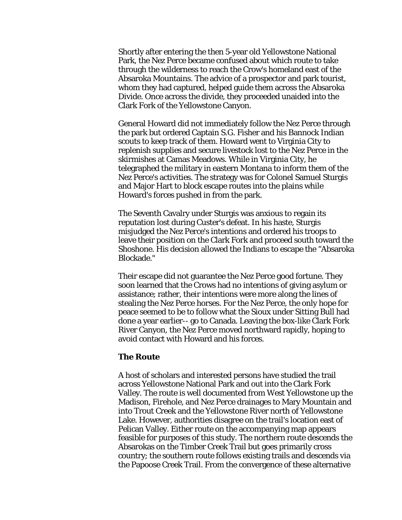Shortly after entering the then 5-year old Yellowstone National Park, the Nez Perce became confused about which route to take through the wilderness to reach the Crow's homeland east of the Absaroka Mountains. The advice of a prospector and park tourist, whom they had captured, helped guide them across the Absaroka Divide. Once across the divide, they proceeded unaided into the Clark Fork of the Yellowstone Canyon.

General Howard did not immediately follow the Nez Perce through the park but ordered Captain S.G. Fisher and his Bannock Indian scouts to keep track of them. Howard went to Virginia City to replenish supplies and secure livestock lost to the Nez Perce in the skirmishes at Camas Meadows. While in Virginia City, he telegraphed the military in eastern Montana to inform them of the Nez Perce's activities. The strategy was for Colonel Samuel Sturgis and Major Hart to block escape routes into the plains while Howard's forces pushed in from the park.

The Seventh Cavalry under Sturgis was anxious to regain its reputation lost during Custer's defeat. In his haste, Sturgis misjudged the Nez Perce's intentions and ordered his troops to leave their position on the Clark Fork and proceed south toward the Shoshone. His decision allowed the Indians to escape the "Absaroka Blockade."

Their escape did not guarantee the Nez Perce good fortune. They soon learned that the Crows had no intentions of giving asylum or assistance; rather, their intentions were more along the lines of stealing the Nez Perce horses. For the Nez Perce, the only hope for peace seemed to be to follow what the Sioux under Sitting Bull had done a year earlier-- go to Canada. Leaving the box-like Clark Fork River Canyon, the Nez Perce moved northward rapidly, hoping to avoid contact with Howard and his forces.

#### **The Route**

A host of scholars and interested persons have studied the trail across Yellowstone National Park and out into the Clark Fork Valley. The route is well documented from West Yellowstone up the Madison, Firehole, and Nez Perce drainages to Mary Mountain and into Trout Creek and the Yellowstone River north of Yellowstone Lake. However, authorities disagree on the trail's location east of Pelican Valley. Either route on the accompanying map appears feasible for purposes of this study. The northern route descends the Absarokas on the Timber Creek Trail but goes primarily cross country; the southern route follows existing trails and descends via the Papoose Creek Trail. From the convergence of these alternative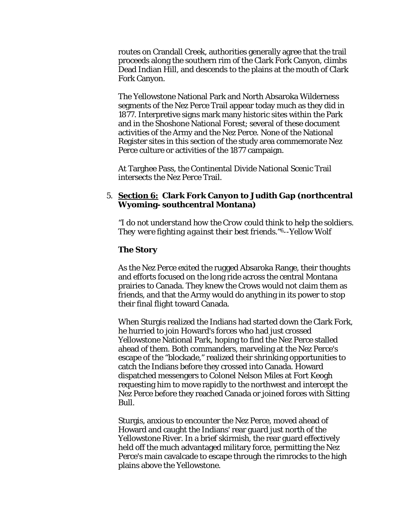routes on Crandall Creek, authorities generally agree that the trail proceeds along the southern rim of the Clark Fork Canyon, climbs Dead Indian Hill, and descends to the plains at the mouth of Clark Fork Canyon.

The Yellowstone National Park and North Absaroka Wilderness segments of the Nez Perce Trail appear today much as they did in 1877. Interpretive signs mark many historic sites within the Park and in the Shoshone National Forest; several of these document activities of the Army and the Nez Perce. None of the National Register sites in this section of the study area commemorate Nez Perce culture or activities of the 1877 campaign.

At Targhee Pass, the Continental Divide National Scenic Trail intersects the Nez Perce Trail.

#### 5. **Section 6: Clark Fork Canyon to Judith Gap (northcentral Wyoming- southcentral Montana)**

*"I do not understand how the Crow could think to help the soldiers. They were fighting against their best friends."*6--Yellow Wolf

#### **The Story**

As the Nez Perce exited the rugged Absaroka Range, their thoughts and efforts focused on the long ride across the central Montana prairies to Canada. They knew the Crows would not claim them as friends, and that the Army would do anything in its power to stop their final flight toward Canada.

When Sturgis realized the Indians had started down the Clark Fork, he hurried to join Howard's forces who had just crossed Yellowstone National Park, hoping to find the Nez Perce stalled ahead of them. Both commanders, marveling at the Nez Perce's escape of the "blockade," realized their shrinking opportunities to catch the Indians before they crossed into Canada. Howard dispatched messengers to Colonel Nelson Miles at Fort Keogh requesting him to move rapidly to the northwest and intercept the Nez Perce before they reached Canada or joined forces with Sitting Bull.

Sturgis, anxious to encounter the Nez Perce, moved ahead of Howard and caught the Indians' rear guard just north of the Yellowstone River. In a brief skirmish, the rear guard effectively held off the much advantaged military force, permitting the Nez Perce's main cavalcade to escape through the rimrocks to the high plains above the Yellowstone.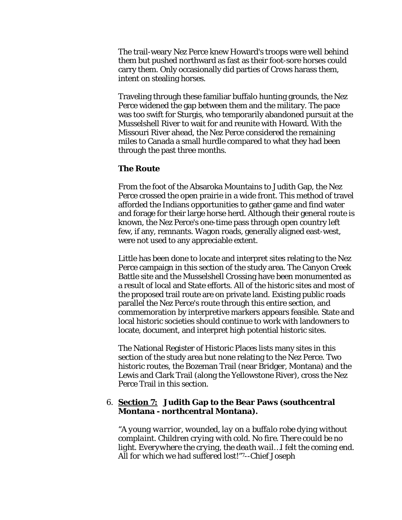The trail-weary Nez Perce knew Howard's troops were well behind them but pushed northward as fast as their foot-sore horses could carry them. Only occasionally did parties of Crows harass them, intent on stealing horses.

Traveling through these familiar buffalo hunting grounds, the Nez Perce widened the gap between them and the military. The pace was too swift for Sturgis, who temporarily abandoned pursuit at the Musselshell River to wait for and reunite with Howard. With the Missouri River ahead, the Nez Perce considered the remaining miles to Canada a small hurdle compared to what they had been through the past three months.

#### **The Route**

From the foot of the Absaroka Mountains to Judith Gap, the Nez Perce crossed the open prairie in a wide front. This method of travel afforded the Indians opportunities to gather game and find water and forage for their large horse herd. Although their general route is known, the Nez Perce's one-time pass through open country left few, if any, remnants. Wagon roads, generally aligned east-west, were not used to any appreciable extent.

Little has been done to locate and interpret sites relating to the Nez Perce campaign in this section of the study area. The Canyon Creek Battle site and the Musselshell Crossing have been monumented as a result of local and State efforts. All of the historic sites and most of the proposed trail route are on private land. Existing public roads parallel the Nez Perce's route through this entire section, and commemoration by interpretive markers appears feasible. State and local historic societies should continue to work with landowners to locate, document, and interpret high potential historic sites.

The National Register of Historic Places lists many sites in this section of the study area but none relating to the Nez Perce. Two historic routes, the Bozeman Trail (near Bridger, Montana) and the Lewis and Clark Trail (along the Yellowstone River), cross the Nez Perce Trail in this section.

#### 6. **Section 7: Judith Gap to the Bear Paws (southcentral Montana - northcentral Montana).**

*"A young warrior, wounded, lay on a buffalo robe dying without complaint. Children crying with cold. No fire. There could be no light. Everywhere the crying, the death wail…I felt the coming end. All for which we had suffered lost!"*7--Chief Joseph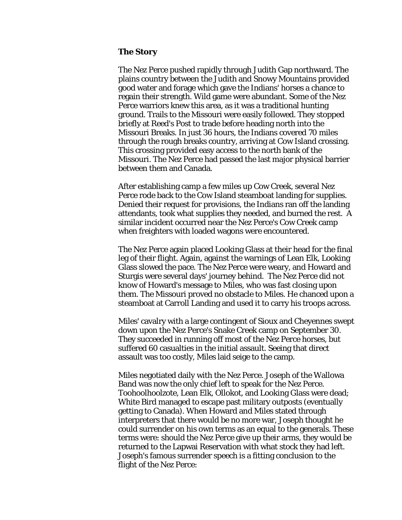#### **The Story**

The Nez Perce pushed rapidly through Judith Gap northward. The plains country between the Judith and Snowy Mountains provided good water and forage which gave the Indians' horses a chance to regain their strength. Wild game were abundant. Some of the Nez Perce warriors knew this area, as it was a traditional hunting ground. Trails to the Missouri were easily followed. They stopped briefly at Reed's Post to trade before heading north into the Missouri Breaks. In just 36 hours, the Indians covered 70 miles through the rough breaks country, arriving at Cow Island crossing. This crossing provided easy access to the north bank of the Missouri. The Nez Perce had passed the last major physical barrier between them and Canada.

After establishing camp a few miles up Cow Creek, several Nez Perce rode back to the Cow Island steamboat landing for supplies. Denied their request for provisions, the Indians ran off the landing attendants, took what supplies they needed, and burned the rest. A similar incident occurred near the Nez Perce's Cow Creek camp when freighters with loaded wagons were encountered.

The Nez Perce again placed Looking Glass at their head for the final leg of their flight. Again, against the warnings of Lean Elk, Looking Glass slowed the pace. The Nez Perce were weary, and Howard and Sturgis were several days' journey behind. The Nez Perce did not know of Howard's message to Miles, who was fast closing upon them. The Missouri proved no obstacle to Miles. He chanced upon a steamboat at Carroll Landing and used it to carry his troops across.

Miles' cavalry with a large contingent of Sioux and Cheyennes swept down upon the Nez Perce's Snake Creek camp on September 30. They succeeded in running off most of the Nez Perce horses, but suffered 60 casualties in the initial assault. Seeing that direct assault was too costly, Miles laid seige to the camp.

Miles negotiated daily with the Nez Perce. Joseph of the Wallowa Band was now the only chief left to speak for the Nez Perce. Toohoolhoolzote, Lean Elk, Ollokot, and Looking Glass were dead; White Bird managed to escape past military outposts (eventually getting to Canada). When Howard and Miles stated through interpreters that there would be no more war, Joseph thought he could surrender on his own terms as an equal to the generals. These terms were: should the Nez Perce give up their arms, they would be returned to the Lapwai Reservation with what stock they had left. Joseph's famous surrender speech is a fitting conclusion to the flight of the Nez Perce: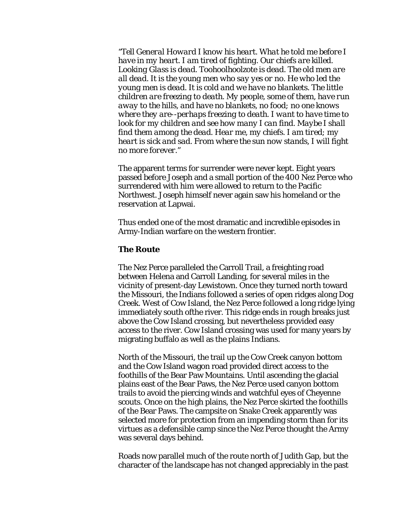*"Tell General Howard I know his heart. What he told me before I have in my heart. I am tired of fighting. Our chiefs are killed. Looking Glass is dead. Toohoolhoolzote is dead. The old men are all dead. It is the young men who say yes or no. He who led the young men is dead. It is cold and we have no blankets. The little children are freezing to death. My people, some of them, have run away to the hills, and have no blankets, no food; no one knows where they are--perhaps freezing to death. I want to have time to look for my children and see how many I can find. Maybe I shall find them among the dead. Hear me, my chiefs. I am tired; my heart is sick and sad. From where the sun now stands, I will fight no more forever."* 

The apparent terms for surrender were never kept. Eight years passed before Joseph and a small portion of the 400 Nez Perce who surrendered with him were allowed to return to the Pacific Northwest. Joseph himself never again saw his homeland or the reservation at Lapwai.

Thus ended one of the most dramatic and incredible episodes in Army-Indian warfare on the western frontier.

#### **The Route**

The Nez Perce paralleled the Carroll Trail, a freighting road between Helena and Carroll Landing, for several miles in the vicinity of present-day Lewistown. Once they turned north toward the Missouri, the Indians followed a series of open ridges along Dog Creek. West of Cow Island, the Nez Perce followed a long ridge lying immediately south ofthe river. This ridge ends in rough breaks just above the Cow Island crossing, but nevertheless provided easy access to the river. Cow Island crossing was used for many years by migrating buffalo as well as the plains Indians.

North of the Missouri, the trail up the Cow Creek canyon bottom and the Cow Island wagon road provided direct access to the foothills of the Bear Paw Mountains. Until ascending the glacial plains east of the Bear Paws, the Nez Perce used canyon bottom trails to avoid the piercing winds and watchful eyes of Cheyenne scouts. Once on the high plains, the Nez Perce skirted the foothills of the Bear Paws. The campsite on Snake Creek apparently was selected more for protection from an impending storm than for its virtues as a defensible camp since the Nez Perce thought the Army was several days behind.

Roads now parallel much of the route north of Judith Gap, but the character of the landscape has not changed appreciably in the past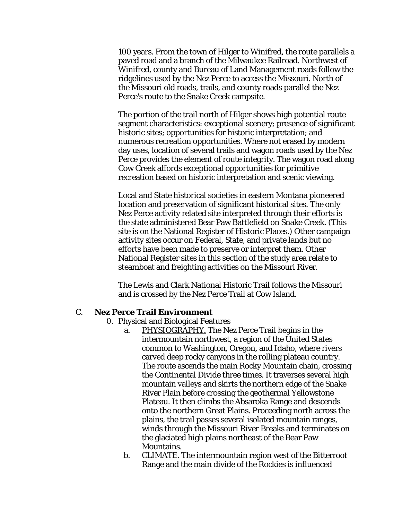100 years. From the town of Hilger to Winifred, the route parallels a paved road and a branch of the Milwaukee Railroad. Northwest of Winifred, county and Bureau of Land Management roads follow the ridgelines used by the Nez Perce to access the Missouri. North of the Missouri old roads, trails, and county roads parallel the Nez Perce's route to the Snake Creek campsite.

The portion of the trail north of Hilger shows high potential route segment characteristics: exceptional scenery; presence of significant historic sites; opportunities for historic interpretation; and numerous recreation opportunities. Where not erased by modern day uses, location of several trails and wagon roads used by the Nez Perce provides the element of route integrity. The wagon road along Cow Creek affords exceptional opportunities for primitive recreation based on historic interpretation and scenic viewing.

Local and State historical societies in eastern Montana pioneered location and preservation of significant historical sites. The only Nez Perce activity related site interpreted through their efforts is the state administered Bear Paw Battlefield on Snake Creek. (This site is on the National Register of Historic Places.) Other campaign activity sites occur on Federal, State, and private lands but no efforts have been made to preserve or interpret them. Other National Register sites in this section of the study area relate to steamboat and freighting activities on the Missouri River.

The Lewis and Clark National Historic Trail follows the Missouri and is crossed by the Nez Perce Trail at Cow Island.

#### C. **Nez Perce Trail Environment**

- 0. Physical and Biological Features
	- a. PHYSIOGRAPHY. The Nez Perce Trail begins in the intermountain northwest, a region of the United States common to Washington, Oregon, and Idaho, where rivers carved deep rocky canyons in the rolling plateau country. The route ascends the main Rocky Mountain chain, crossing the Continental Divide three times. It traverses several high mountain valleys and skirts the northern edge of the Snake River Plain before crossing the geothermal Yellowstone Plateau. It then climbs the Absaroka Range and descends onto the northern Great Plains. Proceeding north across the plains, the trail passes several isolated mountain ranges, winds through the Missouri River Breaks and terminates on the glaciated high plains northeast of the Bear Paw Mountains.
	- b. CLIMATE. The intermountain region west of the Bitterroot Range and the main divide of the Rockies is influenced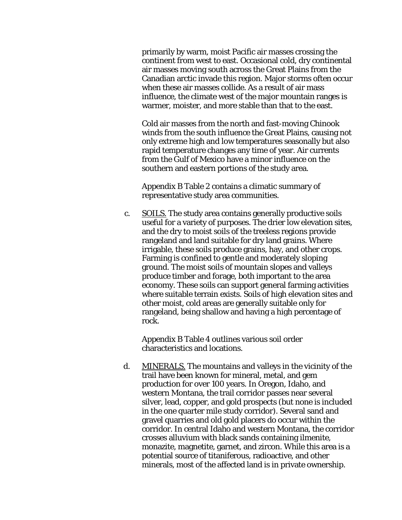primarily by warm, moist Pacific air masses crossing the continent from west to east. Occasional cold, dry continental air masses moving south across the Great Plains from the Canadian arctic invade this region. Major storms often occur when these air masses collide. As a result of air mass influence, the climate west of the major mountain ranges is warmer, moister, and more stable than that to the east.

Cold air masses from the north and fast-moving Chinook winds from the south influence the Great Plains, causing not only extreme high and low temperatures seasonally but also rapid temperature changes any time of year. Air currents from the Gulf of Mexico have a minor influence on the southern and eastern portions of the study area.

Appendix B Table 2 contains a climatic summary of representative study area communities.

c. SOILS. The study area contains generally productive soils useful for a variety of purposes. The drier low elevation sites, and the dry to moist soils of the treeless regions provide rangeland and land suitable for dry land grains. Where irrigable, these soils produce grains, hay, and other crops. Farming is confined to gentle and moderately sloping ground. The moist soils of mountain slopes and valleys produce timber and forage, both important to the area economy. These soils can support general farming activities where suitable terrain exists. Soils of high elevation sites and other moist, cold areas are generally suitable only for rangeland, being shallow and having a high percentage of rock.

Appendix B Table 4 outlines various soil order characteristics and locations.

d. MINERALS. The mountains and valleys in the vicinity of the trail have been known for mineral, metal, and gem production for over 100 years. In Oregon, Idaho, and western Montana, the trail corridor passes near several silver, lead, copper, and gold prospects (but none is included in the one quarter mile study corridor). Several sand and gravel quarries and old gold placers do occur within the corridor. In central Idaho and western Montana, the corridor crosses alluvium with black sands containing ilmenite, monazite, magnetite, garnet, and zircon. While this area is a potential source of titaniferous, radioactive, and other minerals, most of the affected land is in private ownership.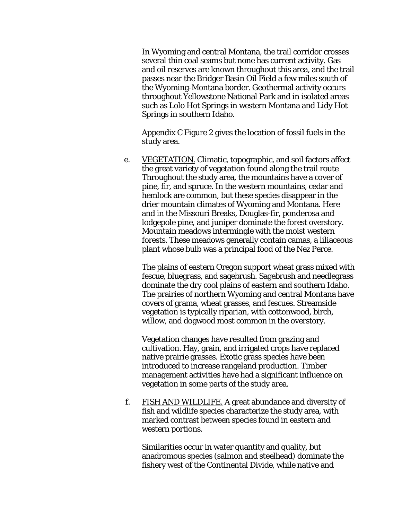In Wyoming and central Montana, the trail corridor crosses several thin coal seams but none has current activity. Gas and oil reserves are known throughout this area, and the trail passes near the Bridger Basin Oil Field a few miles south of the Wyoming-Montana border. Geothermal activity occurs throughout Yellowstone National Park and in isolated areas such as Lolo Hot Springs in western Montana and Lidy Hot Springs in southern Idaho.

Appendix C Figure 2 gives the location of fossil fuels in the study area.

e. VEGETATION. Climatic, topographic, and soil factors affect the great variety of vegetation found along the trail route Throughout the study area, the mountains have a cover of pine, fir, and spruce. In the western mountains, cedar and hemlock are common, but these species disappear in the drier mountain climates of Wyoming and Montana. Here and in the Missouri Breaks, Douglas-fir, ponderosa and lodgepole pine, and juniper dominate the forest overstory. Mountain meadows intermingle with the moist western forests. These meadows generally contain camas, a liliaceous plant whose bulb was a principal food of the Nez Perce.

The plains of eastern Oregon support wheat grass mixed with fescue, bluegrass, and sagebrush. Sagebrush and needlegrass dominate the dry cool plains of eastern and southern Idaho. The prairies of northern Wyoming and central Montana have covers of grama, wheat grasses, and fescues. Streamside vegetation is typically riparian, with cottonwood, birch, willow, and dogwood most common in the overstory.

Vegetation changes have resulted from grazing and cultivation. Hay, grain, and irrigated crops have replaced native prairie grasses. Exotic grass species have been introduced to increase rangeland production. Timber management activities have had a significant influence on vegetation in some parts of the study area.

f. FISH AND WILDLIFE. A great abundance and diversity of fish and wildlife species characterize the study area, with marked contrast between species found in eastern and western portions.

Similarities occur in water quantity and quality, but anadromous species (salmon and steelhead) dominate the fishery west of the Continental Divide, while native and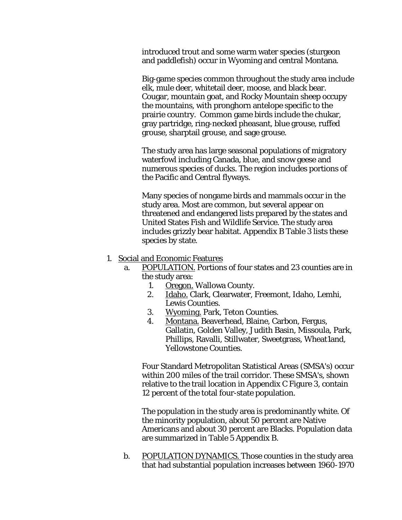introduced trout and some warm water species (sturgeon and paddlefish) occur in Wyoming and central Montana.

Big-game species common throughout the study area include elk, mule deer, whitetail deer, moose, and black bear. Cougar, mountain goat, and Rocky Mountain sheep occupy the mountains, with pronghorn antelope specific to the prairie country. Common game birds include the chukar, gray partridge, ring-necked pheasant, blue grouse, ruffed grouse, sharptail grouse, and sage grouse.

The study area has large seasonal populations of migratory waterfowl including Canada, blue, and snow geese and numerous species of ducks. The region includes portions of the Pacific and Central flyways.

Many species of nongame birds and mammals occur in the study area. Most are common, but several appear on threatened and endangered lists prepared by the states and United States Fish and Wildlife Service. The study area includes grizzly bear habitat. Appendix B Table 3 lists these species by state.

- 1. Social and Economic Features
	- a. POPULATION. Portions of four states and 23 counties are in the study area:
		- 1. Oregon. Wallowa County.
		- 2. Idaho. Clark, Clearwater, Freemont, Idaho, Lemhi, Lewis Counties.
		- 3. Wyoming. Park, Teton Counties.
		- 4. Montana. Beaverhead, Blaine, Carbon, Fergus, Gallatin, Golden Valley, Judith Basin, Missoula, Park, Phillips, Ravalli, Stillwater, Sweetgrass, Wheat1and, Yellowstone Counties.

Four Standard Metropolitan Statistical Areas (SMSA's) occur within 200 miles of the trail corridor. These SMSA's, shown relative to the trail location in Appendix C Figure 3, contain 12 percent of the total four-state population.

The population in the study area is predominantly white. Of the minority population, about 50 percent are Native Americans and about 30 percent are Blacks. Population data are summarized in Table 5 Appendix B.

b. POPULATION DYNAMICS. Those counties in the study area that had substantial population increases between 1960-1970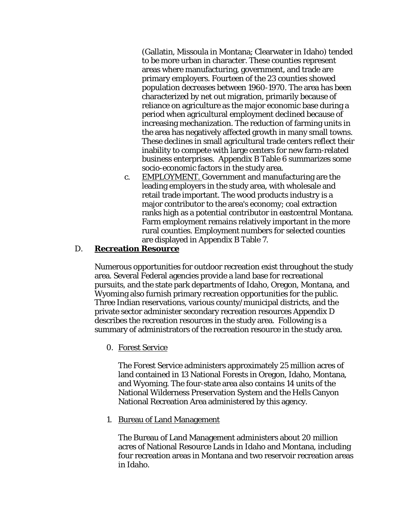(Gallatin, Missoula in Montana; Clearwater in Idaho) tended to be more urban in character. These counties represent areas where manufacturing, government, and trade are primary employers. Fourteen of the 23 counties showed population decreases between 1960-1970. The area has been characterized by net out migration, primarily because of reliance on agriculture as the major economic base during a period when agricultural employment declined because of increasing mechanization. The reduction of farming units in the area has negatively affected growth in many small towns. These declines in small agricultural trade centers reflect their inability to compete with large centers for new farm-related business enterprises. Appendix B Table 6 summarizes some socio-economic factors in the study area.

c. EMPLOYMENT. Government and manufacturing are the leading employers in the study area, with wholesale and retail trade important. The wood products industry is a major contributor to the area's economy; coal extraction ranks high as a potential contributor in eastcentral Montana. Farm employment remains relatively important in the more rural counties. Employment numbers for selected counties are displayed in Appendix B Table 7.

#### D. **Recreation Resource**

Numerous opportunities for outdoor recreation exist throughout the study area. Several Federal agencies provide a land base for recreational pursuits, and the state park departments of Idaho, Oregon, Montana, and Wyoming also furnish primary recreation opportunities for the public. Three Indian reservations, various county/municipal districts, and the private sector administer secondary recreation resources Appendix D describes the recreation resources in the study area. Following is a summary of administrators of the recreation resource in the study area.

0. Forest Service

The Forest Service administers approximately 25 million acres of land contained in 13 National Forests in Oregon, Idaho, Montana, and Wyoming. The four-state area also contains 14 units of the National Wilderness Preservation System and the Hells Canyon National Recreation Area administered by this agency.

1. Bureau of Land Management

The Bureau of Land Management administers about 20 million acres of National Resource Lands in Idaho and Montana, including four recreation areas in Montana and two reservoir recreation areas in Idaho.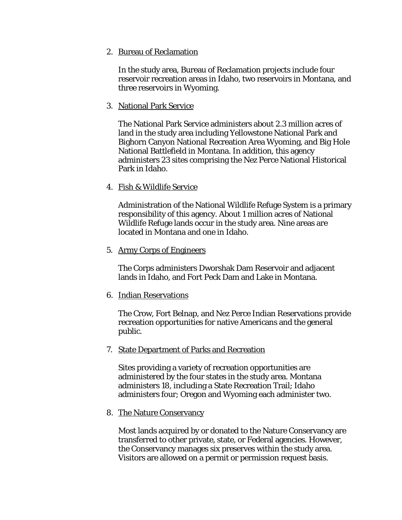2. Bureau of Reclamation

In the study area, Bureau of Reclamation projects include four reservoir recreation areas in Idaho, two reservoirs in Montana, and three reservoirs in Wyoming.

3. National Park Service

The National Park Service administers about 2.3 million acres of land in the study area including Yellowstone National Park and Bighorn Canyon National Recreation Area Wyoming, and Big Hole National Battlefield in Montana. In addition, this agency administers 23 sites comprising the Nez Perce National Historical Park in Idaho.

4. Fish & Wildlife Service

Administration of the National Wildlife Refuge System is a primary responsibility of this agency. About 1 million acres of National Wildlife Refuge lands occur in the study area. Nine areas are located in Montana and one in Idaho.

5. Army Corps of Engineers

The Corps administers Dworshak Dam Reservoir and adjacent lands in Idaho, and Fort Peck Dam and Lake in Montana.

6. Indian Reservations

The Crow, Fort Belnap, and Nez Perce Indian Reservations provide recreation opportunities for native Americans and the general public.

7. State Department of Parks and Recreation

Sites providing a variety of recreation opportunities are administered by the four states in the study area. Montana administers 18, including a State Recreation Trail; Idaho administers four; Oregon and Wyoming each administer two.

8. The Nature Conservancy

Most lands acquired by or donated to the Nature Conservancy are transferred to other private, state, or Federal agencies. However, the Conservancy manages six preserves within the study area. Visitors are allowed on a permit or permission request basis.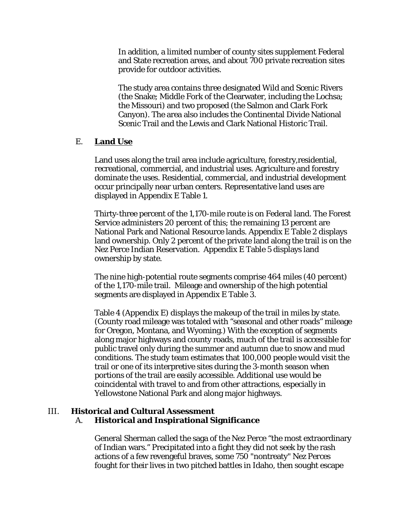In addition, a limited number of county sites supplement Federal and State recreation areas, and about 700 private recreation sites provide for outdoor activities.

The study area contains three designated Wild and Scenic Rivers (the Snake; Middle Fork of the Clearwater, including the Lochsa; the Missouri) and two proposed (the Salmon and Clark Fork Canyon). The area also includes the Continental Divide National Scenic Trail and the Lewis and Clark National Historic Trail.

#### E. **Land Use**

Land uses along the trail area include agriculture, forestry,residential, recreational, commercial, and industrial uses. Agriculture and forestry dominate the uses. Residential, commercial, and industrial development occur principally near urban centers. Representative land uses are displayed in Appendix E Table 1.

Thirty-three percent of the 1,170-mile route is on Federal land. The Forest Service administers 20 percent of this; the remaining 13 percent are National Park and National Resource lands. Appendix E Table 2 displays land ownership. Only 2 percent of the private land along the trail is on the Nez Perce Indian Reservation. Appendix E Table 5 displays land ownership by state.

The nine high-potential route segments comprise 464 miles (40 percent) of the 1,170-mile trail. Mileage and ownership of the high potential segments are displayed in Appendix E Table 3.

Table 4 (Appendix E) displays the makeup of the trail in miles by state. (County road mileage was totaled with "seasonal and other roads" mileage for Oregon, Montana, and Wyoming.) With the exception of segments along major highways and county roads, much of the trail is accessible for public travel only during the summer and autumn due to snow and mud conditions. The study team estimates that 100,000 people would visit the trail or one of its interpretive sites during the 3-month season when portions of the trail are easily accessible. Additional use would be coincidental with travel to and from other attractions, especially in Yellowstone National Park and along major highways.

#### III. **Historical and Cultural Assessment** A. **Historical and Inspirational Significance**

General Sherman called the saga of the Nez Perce "the most extraordinary of Indian wars." Precipitated into a fight they did not seek by the rash actions of a few revengeful braves, some 750 "nontreaty" Nez Perces fought for their lives in two pitched battles in Idaho, then sought escape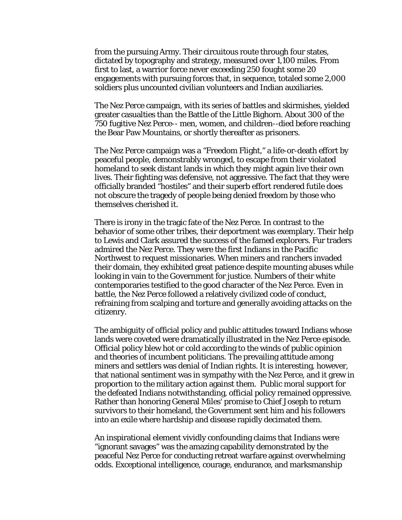from the pursuing Army. Their circuitous route through four states, dictated by topography and strategy, measured over 1,100 miles. From first to last, a warrior force never exceeding 250 fought some 20 engagements with pursuing forces that, in sequence, totaled some 2,000 soldiers plus uncounted civilian volunteers and Indian auxiliaries.

The Nez Perce campaign, with its series of battles and skirmishes, yielded greater casualties than the Battle of the Little Bighorn. About 300 of the 750 fugitive Nez Perce-- men, women, and children--died before reaching the Bear Paw Mountains, or shortly thereafter as prisoners.

The Nez Perce campaign was a "Freedom Flight," a life-or-death effort by peaceful people, demonstrably wronged, to escape from their violated homeland to seek distant lands in which they might again live their own lives. Their fighting was defensive, not aggressive. The fact that they were officially branded "hostiles" and their superb effort rendered futile does not obscure the tragedy of people being denied freedom by those who themselves cherished it.

There is irony in the tragic fate of the Nez Perce. In contrast to the behavior of some other tribes, their deportment was exemplary. Their help to Lewis and Clark assured the success of the famed explorers. Fur traders admired the Nez Perce. They were the first Indians in the Pacific Northwest to request missionaries. When miners and ranchers invaded their domain, they exhibited great patience despite mounting abuses while looking in vain to the Government for justice. Numbers of their white contemporaries testified to the good character of the Nez Perce. Even in battle, the Nez Perce followed a relatively civilized code of conduct, refraining from scalping and torture and generally avoiding attacks on the citizenry.

The ambiguity of official policy and public attitudes toward Indians whose lands were coveted were dramatically illustrated in the Nez Perce episode. Official policy blew hot or cold according to the winds of public opinion and theories of incumbent politicians. The prevailing attitude among miners and settlers was denial of Indian rights. It is interesting, however, that national sentiment was in sympathy with the Nez Perce, and it grew in proportion to the military action against them. Public moral support for the defeated Indians notwithstanding, official policy remained oppressive. Rather than honoring General Miles' promise to Chief Joseph to return survivors to their homeland, the Government sent him and his followers into an exile where hardship and disease rapidly decimated them.

An inspirational element vividly confounding claims that Indians were "ignorant savages" was the amazing capability demonstrated by the peaceful Nez Perce for conducting retreat warfare against overwhelming odds. Exceptional intelligence, courage, endurance, and marksmanship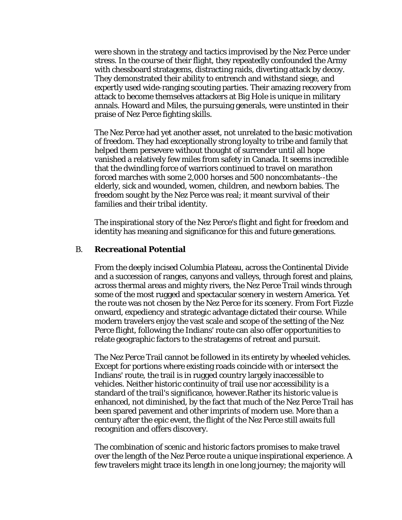were shown in the strategy and tactics improvised by the Nez Perce under stress. In the course of their flight, they repeatedly confounded the Army with chessboard stratagems, distracting raids, diverting attack by decoy. They demonstrated their ability to entrench and withstand siege, and expertly used wide-ranging scouting parties. Their amazing recovery from attack to become themselves attackers at Big Hole is unique in military annals. Howard and Miles, the pursuing generals, were unstinted in their praise of Nez Perce fighting skills.

The Nez Perce had yet another asset, not unrelated to the basic motivation of freedom. They had exceptionally strong loyalty to tribe and family that helped them persevere without thought of surrender until all hope vanished a relatively few miles from safety in Canada. It seems incredible that the dwindling force of warriors continued to travel on marathon forced marches with some 2,000 horses and 500 noncombatants--the elderly, sick and wounded, women, children, and newborn babies. The freedom sought by the Nez Perce was real; it meant survival of their families and their tribal identity.

The inspirational story of the Nez Perce's flight and fight for freedom and identity has meaning and significance for this and future generations.

#### B. **Recreational Potential**

From the deeply incised Columbia Plateau, across the Continental Divide and a succession of ranges, canyons and valleys, through forest and plains, across thermal areas and mighty rivers, the Nez Perce Trail winds through some of the most rugged and spectacular scenery in western America. Yet the route was not chosen by the Nez Perce for its scenery. From Fort Fizzle onward, expediency and strategic advantage dictated their course. While modern travelers enjoy the vast scale and scope of the setting of the Nez Perce flight, following the Indians' route can also offer opportunities to relate geographic factors to the stratagems of retreat and pursuit.

The Nez Perce Trail cannot be followed in its entirety by wheeled vehicles. Except for portions where existing roads coincide with or intersect the Indians' route, the trail is in rugged country largely inaccessible to vehicles. Neither historic continuity of trail use nor accessibility is a standard of the trail's significance, however.Rather its historic value is enhanced, not diminished, by the fact that much of the Nez Perce Trail has been spared pavement and other imprints of modern use. More than a century after the epic event, the flight of the Nez Perce still awaits full recognition and offers discovery.

The combination of scenic and historic factors promises to make travel over the length of the Nez Perce route a unique inspirational experience. A few travelers might trace its length in one long journey; the majority will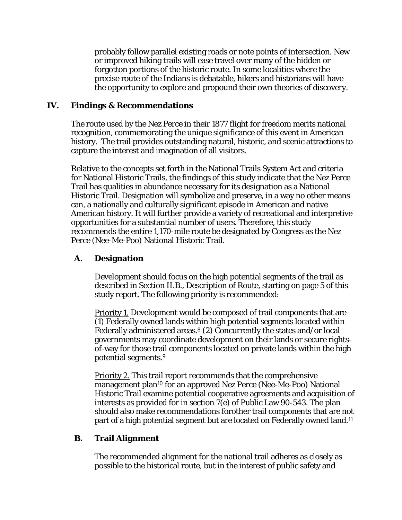probably follow parallel existing roads or note points of intersection. New or improved hiking trails will ease travel over many of the hidden or forgotton portions of the historic route. In some localities where the precise route of the Indians is debatable, hikers and historians will have the opportunity to explore and propound their own theories of discovery.

#### **IV. Findings & Recommendations**

The route used by the Nez Perce in their 1877 flight for freedom merits national recognition, commemorating the unique significance of this event in American history. The trail provides outstanding natural, historic, and scenic attractions to capture the interest and imagination of all visitors.

Relative to the concepts set forth in the National Trails System Act and criteria for National Historic Trails, the findings of this study indicate that the Nez Perce Trail has qualities in abundance necessary for its designation as a National Historic Trail. Designation will symbolize and preserve, in a way no other means can, a nationally and culturally significant episode in American and native American history. It will further provide a variety of recreational and interpretive opportunities for a substantial number of users. Therefore, this study recommends the entire 1,170-mile route be designated by Congress as the Nez Perce (Nee-Me-Poo) National Historic Trail.

#### **A. Designation**

Development should focus on the high potential segments of the trail as described in Section II.B., Description of Route, starting on page 5 of this study report. The following priority is recommended:

Priority 1. Development would be composed of trail components that are (1) Federally owned lands within high potential segments located within Federally administered areas.8 (2) Concurrently the states and/or local governments may coordinate development on their lands or secure rightsof-way for those trail components located on private lands within the high potential segments.9

Priority 2. This trail report recommends that the comprehensive management plan10 for an approved Nez Perce (Nee-Me-Poo) National Historic Trail examine potential cooperative agreements and acquisition of interests as provided for in section 7(e) of Public Law 90-543. The plan should also make recommendations forother trail components that are not part of a high potential segment but are located on Federally owned land.11

#### **B. Trail Alignment**

The recommended alignment for the national trail adheres as closely as possible to the historical route, but in the interest of public safety and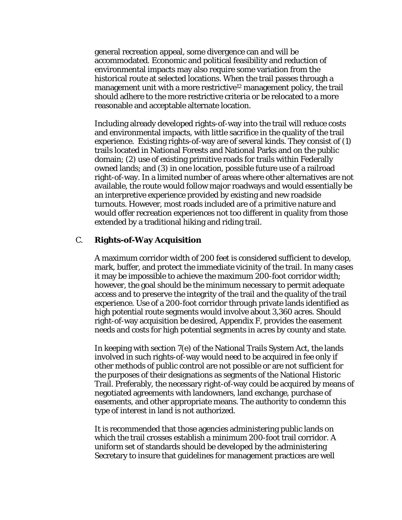general recreation appeal, some divergence can and will be accommodated. Economic and political feasibility and reduction of environmental impacts may also require some variation from the historical route at selected locations. When the trail passes through a management unit with a more restrictive<sup>12</sup> management policy, the trail should adhere to the more restrictive criteria or be relocated to a more reasonable and acceptable alternate location.

Including already developed rights-of-way into the trail will reduce costs and environmental impacts, with little sacrifice in the quality of the trail experience. Existing rights-of-way are of several kinds. They consist of (1) trails located in National Forests and National Parks and on the public domain; (2) use of existing primitive roads for trails within Federally owned lands; and (3) in one location, possible future use of a railroad right-of-way. In a limited number of areas where other alternatives are not available, the route would follow major roadways and would essentially be an interpretive experience provided by existing and new roadside turnouts. However, most roads included are of a primitive nature and would offer recreation experiences not too different in quality from those extended by a traditional hiking and riding trail.

#### C. **Rights-of-Way Acquisition**

A maximum corridor width of 200 feet is considered sufficient to develop, mark, buffer, and protect the immediate vicinity of the trail. In many cases it may be impossible to achieve the maximum 200-foot corridor width; however, the goal should be the minimum necessary to permit adequate access and to preserve the integrity of the trail and the quality of the trail experience. Use of a 200-foot corridor through private lands identified as high potential route segments would involve about 3,360 acres. Should right-of-way acquisition be desired, Appendix F, provides the easement needs and costs for high potential segments in acres by county and state.

In keeping with section 7(e) of the National Trails System Act, the lands involved in such rights-of-way would need to be acquired in fee only if other methods of public control are not possible or are not sufficient for the purposes of their designations as segments of the National Historic Trail. Preferably, the necessary right-of-way could be acquired by means of negotiated agreements with landowners, land exchange, purchase of easements, and other appropriate means. The authority to condemn this type of interest in land is not authorized.

It is recommended that those agencies administering public lands on which the trail crosses establish a minimum 200-foot trail corridor. A uniform set of standards should be developed by the administering Secretary to insure that guidelines for management practices are well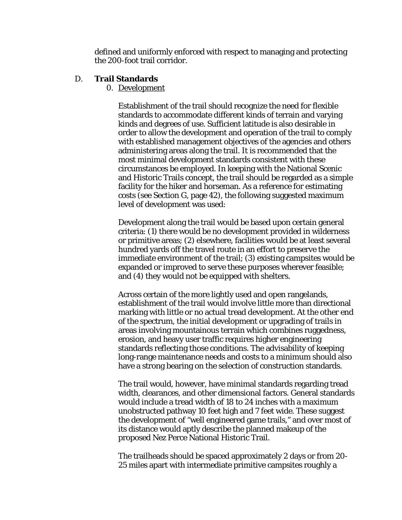defined and uniformly enforced with respect to managing and protecting the 200-foot trail corridor.

#### D. **Trail Standards**

0. Development

Establishment of the trail should recognize the need for flexible standards to accommodate different kinds of terrain and varying kinds and degrees of use. Sufficient latitude is also desirable in order to allow the development and operation of the trail to comply with established management objectives of the agencies and others administering areas along the trail. It is recommended that the most minimal development standards consistent with these circumstances be employed. In keeping with the National Scenic and Historic Trails concept, the trail should be regarded as a simple facility for the hiker and horseman. As a reference for estimating costs (see Section G, page 42), the following suggested maximum level of development was used:

Development along the trail would be based upon certain general criteria: (1) there would be no development provided in wilderness or primitive areas; (2) elsewhere, facilities would be at least several hundred yards off the travel route in an effort to preserve the immediate environment of the trail; (3) existing campsites would be expanded or improved to serve these purposes wherever feasible; and (4) they would not be equipped with shelters.

Across certain of the more lightly used and open rangelands, establishment of the trail would involve little more than directional marking with little or no actual tread development. At the other end of the spectrum, the initial development or upgrading of trails in areas involving mountainous terrain which combines ruggedness, erosion, and heavy user traffic requires higher engineering standards reflecting those conditions. The advisability of keeping long-range maintenance needs and costs to a minimum should also have a strong bearing on the selection of construction standards.

The trail would, however, have minimal standards regarding tread width, clearances, and other dimensional factors. General standards would include a tread width of 18 to 24 inches with a maximum unobstructed pathway 10 feet high and 7 feet wide. These suggest the development of "well engineered game trails," and over most of its distance would aptly describe the planned makeup of the proposed Nez Perce National Historic Trail.

The trailheads should be spaced approximately 2 days or from 20- 25 miles apart with intermediate primitive campsites roughly a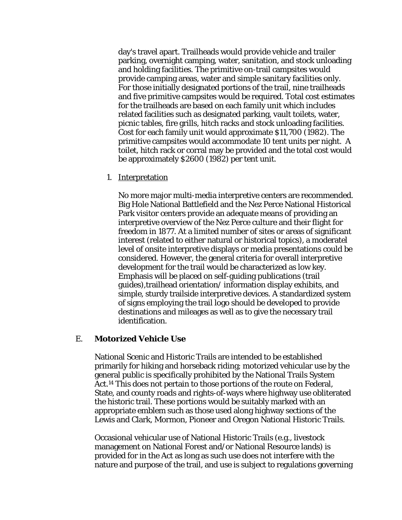day's travel apart. Trailheads would provide vehicle and trailer parking, overnight camping, water, sanitation, and stock unloading and holding facilities. The primitive on-trail campsites would provide camping areas, water and simple sanitary facilities only. For those initially designated portions of the trail, nine trailheads and five primitive campsites would be required. Total cost estimates for the trailheads are based on each family unit which includes related facilities such as designated parking, vault toilets, water, picnic tables, fire grills, hitch racks and stock unloading facilities. Cost for each family unit would approximate \$11,700 (1982). The primitive campsites would accommodate 10 tent units per night. A toilet, hitch rack or corral may be provided and the total cost would be approximately \$2600 (1982) per tent unit.

1. Interpretation

No more major multi-media interpretive centers are recommended. Big Hole National Battlefield and the Nez Perce National Historical Park visitor centers provide an adequate means of providing an interpretive overview of the Nez Perce culture and their flight for freedom in 1877. At a limited number of sites or areas of significant interest (related to either natural or historical topics), a moderatel level of onsite interpretive displays or media presentations could be considered. However, the general criteria for overall interpretive development for the trail would be characterized as low key. Emphasis will be placed on self-guiding publications (trail guides),trailhead orientation/ information display exhibits, and simple, sturdy trailside interpretive devices. A standardized system of signs employing the trail logo should be developed to provide destinations and mileages as well as to give the necessary trail identification.

#### E. **Motorized Vehicle Use**

National Scenic and Historic Trails are intended to be established primarily for hiking and horseback riding; motorized vehicular use by the general public is specifically prohibited by the National Trails System Act.14 This does not pertain to those portions of the route on Federal, State, and county roads and rights-of-ways where highway use obliterated the historic trail. These portions would be suitably marked with an appropriate emblem such as those used along highway sections of the Lewis and Clark, Mormon, Pioneer and Oregon National Historic Trails.

Occasional vehicular use of National Historic Trails (e.g., livestock management on National Forest and/or National Resource lands) is provided for in the Act as long as such use does not interfere with the nature and purpose of the trail, and use is subject to regulations governing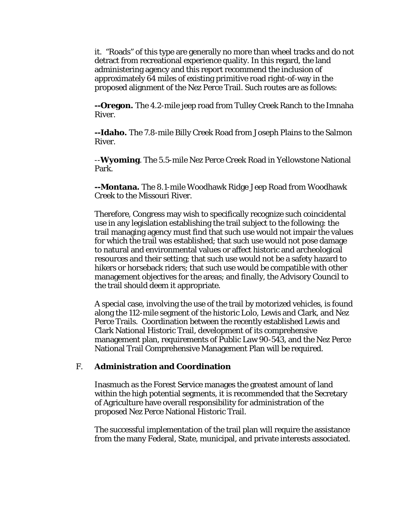it. "Roads" of this type are generally no more than wheel tracks and do not detract from recreational experience quality. In this regard, the land administering agency and this report recommend the inclusion of approximately 64 miles of existing primitive road right-of-way in the proposed alignment of the Nez Perce Trail. Such routes are as follows:

**--Oregon.** The 4.2-mile jeep road from Tulley Creek Ranch to the Imnaha River.

**--Idaho.** The 7.8-mile Billy Creek Road from Joseph Plains to the Salmon River.

--**Wyoming**. The 5.5-mile Nez Perce Creek Road in Yellowstone National Park.

**--Montana.** The 8.1-mile Woodhawk Ridge Jeep Road from Woodhawk Creek to the Missouri River.

Therefore, Congress may wish to specifically recognize such coincidental use in any legislation establishing the trail subject to the following: the trail managing agency must find that such use would not impair the values for which the trail was established; that such use would not pose damage to natural and environmental values or affect historic and archeological resources and their setting; that such use would not be a safety hazard to hikers or horseback riders; that such use would be compatible with other management objectives for the areas; and finally, the Advisory Council to the trail should deem it appropriate.

A special case, involving the use of the trail by motorized vehicles, is found along the 112-mile segment of the historic Lolo, Lewis and Clark, and Nez Perce Trails. Coordination between the recently established Lewis and Clark National Historic Trail, development of its comprehensive management plan, requirements of Public Law 90-543, and the Nez Perce National Trail Comprehensive Management Plan will be required.

#### F. **Administration and Coordination**

Inasmuch as the Forest Service manages the greatest amount of land within the high potential segments, it is recommended that the Secretary of Agriculture have overall responsibility for administration of the proposed Nez Perce National Historic Trail.

The successful implementation of the trail plan will require the assistance from the many Federal, State, municipal, and private interests associated.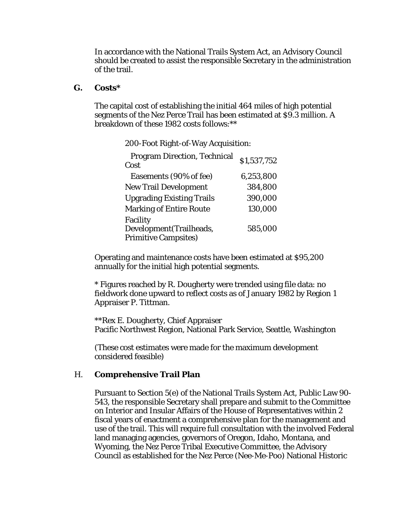In accordance with the National Trails System Act, an Advisory Council should be created to assist the responsible Secretary in the administration of the trail.

#### **G. Costs\***

The capital cost of establishing the initial 464 miles of high potential segments of the Nez Perce Trail has been estimated at \$9.3 million. A breakdown of these 1982 costs follows:\*\*

200-Foot Right-of-Way Acquisition:

| <b>Program Direction, Technical</b><br>Cost | \$1,537,752 |
|---------------------------------------------|-------------|
| Easements (90% of fee)                      | 6,253,800   |
| <b>New Trail Development</b>                | 384,800     |
| <b>Upgrading Existing Trails</b>            | 390,000     |
| <b>Marking of Entire Route</b>              | 130,000     |
| Facility                                    |             |
| Development (Trailheads,                    | 585,000     |
| <b>Primitive Campsites)</b>                 |             |

Operating and maintenance costs have been estimated at \$95,200 annually for the initial high potential segments.

\* Figures reached by R. Dougherty were trended using file data: no fieldwork done upward to reflect costs as of January 1982 by Region 1 Appraiser P. Tittman.

\*\*Rex E. Dougherty, Chief Appraiser Pacific Northwest Region, National Park Service, Seattle, Washington

(These cost estimates were made for the maximum development considered feasible)

#### H. **Comprehensive Trail Plan**

Pursuant to Section 5(e) of the National Trails System Act, Public Law 90- 543, the responsible Secretary shall prepare and submit to the Committee on Interior and Insular Affairs of the House of Representatives within 2 fiscal years of enactment a comprehensive plan for the management and use of the trail. This will require full consultation with the involved Federal land managing agencies, governors of Oregon, Idaho, Montana, and Wyoming, the Nez Perce Tribal Executive Committee, the Advisory Council as established for the Nez Perce (Nee-Me-Poo) National Historic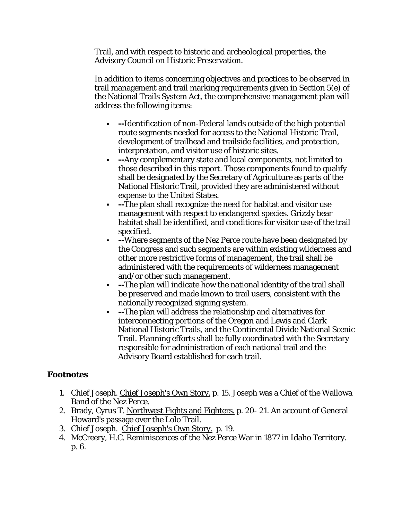Trail, and with respect to historic and archeological properties, the Advisory Council on Historic Preservation.

In addition to items concerning objectives and practices to be observed in trail management and trail marking requirements given in Section 5(e) of the National Trails System Act, the comprehensive management plan will address the following items:

- **--**Identification of non-Federal lands outside of the high potential route segments needed for access to the National Historic Trail, development of trailhead and trailside facilities, and protection, interpretation, and visitor use of historic sites.
- **--**Any complementary state and local components, not limited to those described in this report. Those components found to qualify shall be designated by the Secretary of Agriculture as parts of the National Historic Trail, provided they are administered without expense to the United States.
- **--**The plan shall recognize the need for habitat and visitor use management with respect to endangered species. Grizzly bear habitat shall be identified, and conditions for visitor use of the trail specified.
- **--**Where segments of the Nez Perce route have been designated by the Congress and such segments are within existing wilderness and other more restrictive forms of management, the trail shall be administered with the requirements of wilderness management and/or other such management.
- **--**The plan will indicate how the national identity of the trail shall be preserved and made known to trail users, consistent with the nationally recognized signing system.
- **--**The plan will address the relationship and alternatives for interconnecting portions of the Oregon and Lewis and Clark National Historic Trails, and the Continental Divide National Scenic Trail. Planning efforts shall be fully coordinated with the Secretary responsible for administration of each national trail and the Advisory Board established for each trail.

#### **Footnotes**

- 1. Chief Joseph. Chief Joseph's Own Story. p. 15. Joseph was a Chief of the Wallowa Band of the Nez Perce.
- 2. Brady, Cyrus T. Northwest Fights and Fighters. p. 20-21. An account of General Howard's passage over the Lolo Trail.
- 3. Chief Joseph. Chief Joseph's Own Story. p. 19.
- 4. McCreery, H.C. Reminiscences of the Nez Perce War in 1877 in Idaho Territory. p. 6.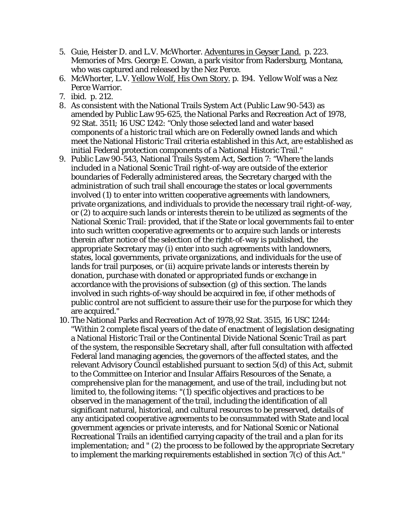- 5. Guie, Heister D. and L.V. McWhorter. Adventures in Geyser Land. p. 223. Memories of Mrs. George E. Cowan, a park visitor from Radersburg, Montana, who was captured and released by the Nez Perce.
- 6. McWhorter, L.V. Yellow Wolf, His Own Story. p. 194. Yellow Wolf was a Nez Perce Warrior.
- 7. ibid. p. 212.
- 8. As consistent with the National Trails System Act (Public Law 90-543) as amended by Public Law 95-625, the National Parks and Recreation Act of 1978, 92 Stat. 3511; 16 USC 1242: "Only those selected land and water based components of a historic trail which are on Federally owned lands and which meet the National Historic Trail criteria established in this Act, are established as initial Federal protection components of a National Historic Trail."
- 9. Public Law 90-543, National Trails System Act, Section 7: "Where the lands included in a National Scenic Trail right-of-way are outside of the exterior boundaries of Federally administered areas, the Secretary charged with the administration of such trail shall encourage the states or local governments involved (1) to enter into written cooperative agreements with landowners, private organizations, and individuals to provide the necessary trail right-of-way, or (2) to acquire such lands or interests therein to be utilized as segments of the National Scenic Trail: provided, that if the State or local governments fail to enter into such written cooperative agreements or to acquire such lands or interests therein after notice of the selection of the right-of-way is published, the appropriate Secretary may (i) enter into such agreements with landowners, states, local governments, private organizations, and individuals for the use of lands for trail purposes, or (ii) acquire private lands or interests therein by donation, purchase with donated or appropriated funds or exchange in accordance with the provisions of subsection (g) of this section. The lands involved in such rights-of-way should be acquired in fee, if other methods of public control are not sufficient to assure their use for the purpose for which they are acquired."
- 10. The National Parks and Recreation Act of 1978,92 Stat. 3515, 16 USC 1244: "Within 2 complete fiscal years of the date of enactment of legislation designating a National Historic Trail or the Continental Divide National Scenic Trail as part of the system, the responsible Secretary shall, after full consultation with affected Federal land managing agencies, the governors of the affected states, and the relevant Advisory Council established pursuant to section 5(d) of this Act, submit to the Committee on Interior and Insular Affairs Resources of the Senate, a comprehensive plan for the management, and use of the trail, including but not limited to, the following items: "(1) specific objectives and practices to be observed in the management of the trail, including the identification of all significant natural, historical, and cultural resources to be preserved, details of any anticipated cooperative agreements to be consummated with State and local government agencies or private interests, and for National Scenic or National Recreational Trails an identified carrying capacity of the trail and a plan for its implementation; and " (2) the process to be followed by the appropriate Secretary to implement the marking requirements established in section 7(c) of this Act."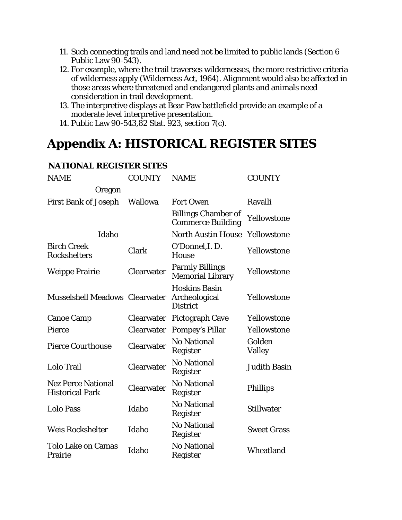- 11. Such connecting trails and land need not be limited to public lands (Section 6 Public Law 90-543).
- 12. For example, where the trail traverses wildernesses, the more restrictive criteria of wilderness apply (Wilderness Act, 1964). Alignment would also be affected in those areas where threatened and endangered plants and animals need consideration in trail development.
- 13. The interpretive displays at Bear Paw battlefield provide an example of a moderate level interpretive presentation.
- 14. Public Law 90-543,82 Stat. 923, section 7(c).

## **Appendix A: HISTORICAL REGISTER SITES**

| <b>NAME</b>                                         | <b>COUNTY</b>  | <b>NAME</b>                                              | <b>COUNTY</b>       |
|-----------------------------------------------------|----------------|----------------------------------------------------------|---------------------|
| Oregon                                              |                |                                                          |                     |
| <b>First Bank of Joseph</b>                         | <b>Wallowa</b> | <b>Fort Owen</b>                                         | Ravalli             |
|                                                     |                | <b>Billings Chamber of</b><br><b>Commerce Building</b>   | Yellowstone         |
| Idaho                                               |                | <b>North Austin House</b>                                | Yellowstone         |
| <b>Birch Creek</b><br><b>Rockshelters</b>           | Clark          | O'Donnel, I.D.<br>House                                  | Yellowstone         |
| <b>Weippe Prairie</b>                               | Clearwater     | <b>Parmly Billings</b><br><b>Memorial Library</b>        | Yellowstone         |
| Musselshell Meadows Clearwater                      |                | <b>Hoskins Basin</b><br>Archeological<br><b>District</b> | Yellowstone         |
| <b>Canoe Camp</b>                                   | Clearwater     | <b>Pictograph Cave</b>                                   | Yellowstone         |
| Pierce                                              | Clearwater     | <b>Pompey's Pillar</b>                                   | Yellowstone         |
| <b>Pierce Courthouse</b>                            | Clearwater     | <b>No National</b><br>Register                           | Golden<br>Valley    |
| Lolo Trail                                          | Clearwater     | <b>No National</b><br>Register                           | <b>Judith Basin</b> |
| <b>Nez Perce National</b><br><b>Historical Park</b> | Clearwater     | <b>No National</b><br>Register                           | <b>Phillips</b>     |
| <b>Lolo Pass</b>                                    | Idaho          | <b>No National</b><br>Register                           | <b>Stillwater</b>   |
| <b>Weis Rockshelter</b>                             | Idaho          | <b>No National</b><br>Register                           | <b>Sweet Grass</b>  |
| <b>Tolo Lake on Camas</b><br>Prairie                | Idaho          | <b>No National</b><br>Register                           | Wheatland           |

#### **NATIONAL REGISTER SITES**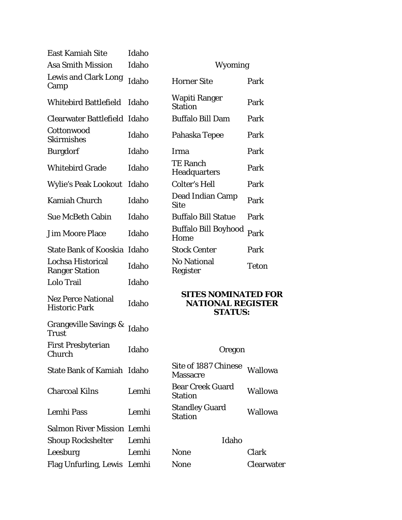| <b>East Kamiah Site</b>                           | Idaho |                                                                          |                |
|---------------------------------------------------|-------|--------------------------------------------------------------------------|----------------|
| <b>Asa Smith Mission</b>                          | Idaho | Wyoming                                                                  |                |
| <b>Lewis and Clark Long</b><br>Camp               | Idaho | <b>Horner Site</b>                                                       | Park           |
| <b>Whitebird Battlefield</b>                      | Idaho | Wapiti Ranger<br><b>Station</b>                                          | Park           |
| Clearwater Battlefield Idaho                      |       | <b>Buffalo Bill Dam</b>                                                  | Park           |
| Cottonwood<br><b>Skirmishes</b>                   | Idaho | Pahaska Tepee                                                            | Park           |
| <b>Burgdorf</b>                                   | Idaho | Irma                                                                     | Park           |
| <b>Whitebird Grade</b>                            | Idaho | <b>TE Ranch</b><br><b>Headquarters</b>                                   | Park           |
| <b>Wylie's Peak Lookout</b>                       | Idaho | <b>Colter's Hell</b>                                                     | Park           |
| <b>Kamiah Church</b>                              | Idaho | <b>Dead Indian Camp</b><br><b>Site</b>                                   | Park           |
| <b>Sue McBeth Cabin</b>                           | Idaho | <b>Buffalo Bill Statue</b>                                               | Park           |
| <b>Jim Moore Place</b>                            | Idaho | <b>Buffalo Bill Boyhood</b><br>Home                                      | Park           |
| State Bank of Kooskia Idaho                       |       | <b>Stock Center</b>                                                      | Park           |
| Lochsa Historical<br><b>Ranger Station</b>        | Idaho | <b>No National</b><br>Register                                           | <b>Teton</b>   |
| Lolo Trail                                        | Idaho |                                                                          |                |
| <b>Nez Perce National</b><br><b>Historic Park</b> | Idaho | <b>SITES NOMINATED FOR</b><br><b>NATIONAL REGISTER</b><br><b>STATUS:</b> |                |
| <b>Grangeville Savings &amp;</b><br>Trust         | Idaho |                                                                          |                |
| <b>First Presbyterian</b><br>Church               | Idaho | Oregon                                                                   |                |
| <b>State Bank of Kamiah Idaho</b>                 |       | Site of 1887 Chinese<br><b>Massacre</b>                                  | <b>Wallowa</b> |
| <b>Charcoal Kilns</b>                             | Lemhi | <b>Bear Creek Guard</b><br><b>Station</b>                                | <b>Wallowa</b> |
| Lemhi Pass                                        | Lemhi | <b>Standley Guard</b><br><b>Station</b>                                  | <b>Wallowa</b> |
| <b>Salmon River Mission Lemhi</b>                 |       |                                                                          |                |
| <b>Shoup Rockshelter</b>                          | Lemhi | Idaho                                                                    |                |
| Leesburg                                          | Lemhi | <b>None</b>                                                              | Clark          |
| Flag Unfurling, Lewis Lemhi                       |       | <b>None</b>                                                              | Clearwater     |

| Wyoming                         |       |
|---------------------------------|-------|
| <b>Horner Site</b>              | Park  |
| Wapiti Ranger<br><b>Station</b> | Park  |
| <b>Buffalo Bill Dam</b>         | Park  |
| Pahaska Tepee                   | Park  |
| Irma                            | Park  |
| <b>TE Ranch</b><br>Headquarters | Park  |
| Colter's Hell                   | Park  |
| Dead Indian Camp<br>Site        | Park  |
| <b>Buffalo Bill Statue</b>      | Park  |
| Buffalo Bill Boyhood<br>Home    | Park  |
| <b>Stock Center</b>             | Park  |
| No National<br>Register         | Teton |
|                                 |       |

#### **SITES NOMINATED FOR NATIONAL REGISTER STATUS:**

## Oregon

| Site of 1887 Chinese<br><b>Massacre</b>   | Wallowa        |
|-------------------------------------------|----------------|
| <b>Bear Creek Guard</b><br><b>Station</b> | <b>Wallowa</b> |
| <b>Standley Guard</b><br><b>Station</b>   | Wallowa        |

#### Idaho

| Clark    |
|----------|
| Clearwat |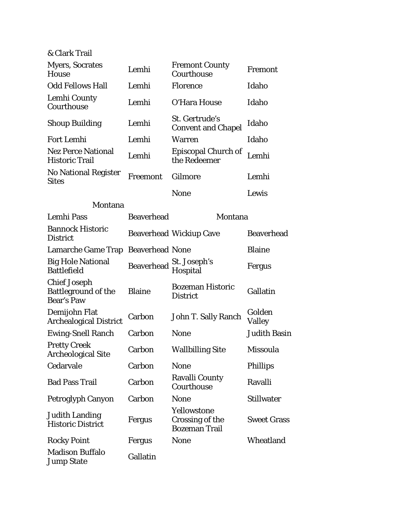& Clark Trail

| <b>Myers, Socrates</b><br><b>House</b>                                 | Lemhi                  | <b>Fremont County</b><br>Courthouse                    | Fremont             |
|------------------------------------------------------------------------|------------------------|--------------------------------------------------------|---------------------|
| <b>Odd Fellows Hall</b>                                                | Lemhi                  | Florence                                               | Idaho               |
| Lemhi County<br>Courthouse                                             | Lemhi                  | O'Hara House                                           | Idaho               |
| <b>Shoup Building</b>                                                  | Lemhi                  | St. Gertrude's<br><b>Convent and Chapel</b>            | Idaho               |
| <b>Fort Lemhi</b>                                                      | Lemhi                  | <b>Warren</b>                                          | Idaho               |
| <b>Nez Perce National</b><br><b>Historic Trail</b>                     | Lemhi                  | Episcopal Church of<br>the Redeemer                    | Lemhi               |
| <b>No National Register</b><br><b>Sites</b>                            | Freemont               | Gilmore                                                | Lemhi               |
|                                                                        |                        | <b>None</b>                                            | Lewis               |
| Montana                                                                |                        |                                                        |                     |
| <b>Lemhi Pass</b>                                                      | <b>Beaverhead</b>      | Montana                                                |                     |
| <b>Bannock Historic</b><br><b>District</b>                             |                        | <b>Beaverhead Wickiup Cave</b>                         | <b>Beaverhead</b>   |
| Lamarche Game Trap                                                     | <b>Beaverhead None</b> |                                                        | <b>Blaine</b>       |
| <b>Big Hole National</b><br><b>Battlefield</b>                         | <b>Beaverhead</b>      | St. Joseph's<br>Hospital                               | Fergus              |
| <b>Chief Joseph</b><br><b>Battleground of the</b><br><b>Bear's Paw</b> | <b>Blaine</b>          | <b>Bozeman Historic</b><br><b>District</b>             | Gallatin            |
| Demijohn Flat<br><b>Archealogical District</b>                         | Carbon                 | John T. Sally Ranch                                    | Golden<br>Valley    |
| <b>Ewing-Snell Ranch</b>                                               | Carbon                 | <b>None</b>                                            | <b>Judith Basin</b> |
| <b>Pretty Creek</b><br><b>Archeological Site</b>                       | Carbon                 | <b>Wallbilling Site</b>                                | Missoula            |
| Cedarvale                                                              | Carbon                 | <b>None</b>                                            | <b>Phillips</b>     |
| <b>Bad Pass Trail</b>                                                  | Carbon                 | <b>Ravalli County</b><br>Courthouse                    | Ravalli             |
| Petroglyph Canyon                                                      | Carbon                 | <b>None</b>                                            | <b>Stillwater</b>   |
| <b>Judith Landing</b><br><b>Historic District</b>                      | Fergus                 | Yellowstone<br>Crossing of the<br><b>Bozeman Trail</b> | <b>Sweet Grass</b>  |
| <b>Rocky Point</b>                                                     | Fergus                 | <b>None</b>                                            | Wheatland           |
| <b>Madison Buffalo</b><br><b>Jump State</b>                            | Gallatin               |                                                        |                     |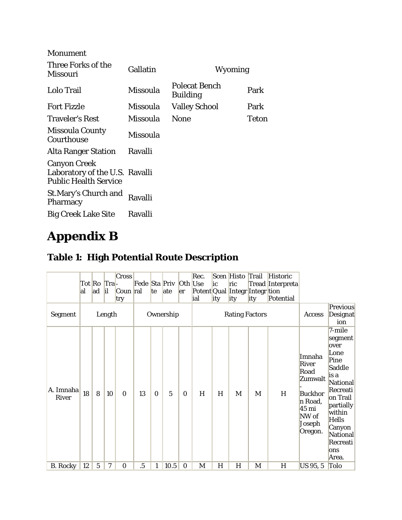| <b>Monument</b>                                                                       |          |                                         |              |
|---------------------------------------------------------------------------------------|----------|-----------------------------------------|--------------|
| Three Forks of the<br>Missouri                                                        | Gallatin | Wyoming                                 |              |
| Lolo Trail                                                                            | Missoula | <b>Polecat Bench</b><br><b>Building</b> | Park         |
| <b>Fort Fizzle</b>                                                                    | Missoula | <b>Valley School</b>                    | Park         |
| <b>Traveler's Rest</b>                                                                | Missoula | None                                    | <b>Teton</b> |
| <b>Missoula County</b><br>Courthouse                                                  | Missoula |                                         |              |
| <b>Alta Ranger Station</b>                                                            | Ravalli  |                                         |              |
| <b>Canyon Creek</b><br>Laboratory of the U.S. Ravalli<br><b>Public Health Service</b> |          |                                         |              |
| <b>St.Mary's Church and</b><br>Pharmacy                                               | Ravalli  |                                         |              |
| <b>Big Creek Lake Site</b>                                                            | Ravalli  |                                         |              |

# **Appendix B**

## **Table 1: High Potential Route Description**

| <b>Segment</b>            | al | Tot Ro Tra-<br>ad | i <br>Length | Cross<br>Coun ral<br>try | Fede Sta Priv | <sub>te</sub> | ate<br>Ownership | Oth Use<br>er | Rec.<br>Potent Qual Integr Integr tion<br>ial | ic<br>ity | Scen Histo<br>ric<br><b>j</b> ity<br><b>Rating Factors</b> | Trail<br>ity | <b>Historic</b><br>Tread Interpreta<br>Potential | Access                                                                                                           | <b>Previous</b><br><b>Designat</b>                                                                                                                                                                     |
|---------------------------|----|-------------------|--------------|--------------------------|---------------|---------------|------------------|---------------|-----------------------------------------------|-----------|------------------------------------------------------------|--------------|--------------------------------------------------|------------------------------------------------------------------------------------------------------------------|--------------------------------------------------------------------------------------------------------------------------------------------------------------------------------------------------------|
| A. Imnaha<br><b>River</b> | 18 | 8                 | 10           | $\Omega$                 | 13            | $\Omega$      | 5                | $\bf{0}$      | H                                             | H         | M                                                          | M            | H                                                | Imnaha<br>River<br>Road<br>Zumwalt<br><b>Buckhor</b><br>n Road,<br>$45 \text{ mi}$<br>NW of<br>Joseph<br>Oregon. | ion<br>7-mile<br>segment<br>over<br>Lone<br>Pine<br>Saddle<br>is a<br><b>National</b><br>Recreati<br>on Trail<br>partially<br>within<br><b>Hells</b><br>Canyon<br>National<br>Recreati<br>ons<br>Area. |
| <b>B.</b> Rocky           | 12 | $\overline{5}$    | 7            | $\bf{0}$                 | .5            | 1             | 10.5             | $\bf{0}$      | M                                             | H         | H                                                          | M            | H                                                | US 95, 5                                                                                                         | Tolo                                                                                                                                                                                                   |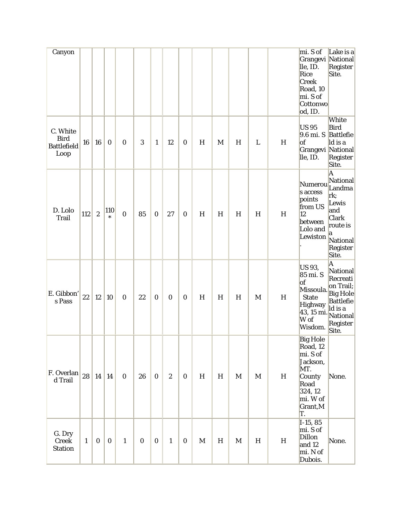| Canyon                                                |              |                  |                  |                  |                  |                  |                  |                  |             |           |             |             |                           | mi. S of<br>Grangevi National<br>lle, ID.<br>Rice<br><b>Creek</b><br>Road, 10<br>mi. S of<br>Cottonwo<br>od, ID.     | Lake is a<br>Register<br>Site.                                                                                                   |
|-------------------------------------------------------|--------------|------------------|------------------|------------------|------------------|------------------|------------------|------------------|-------------|-----------|-------------|-------------|---------------------------|----------------------------------------------------------------------------------------------------------------------|----------------------------------------------------------------------------------------------------------------------------------|
| C. White<br><b>Bird</b><br><b>Battlefield</b><br>Loop | 16           | 16               | $\boldsymbol{0}$ | $\bf{0}$         | 3                | $\mathbf{1}$     | 12               | $\boldsymbol{0}$ | H           | M         | H           | L           | H                         | <b>US95</b><br>9.6 mi. S<br>of<br>Grangevi National<br>lle, ID.                                                      | White<br><b>Bird</b><br><b>Battlefie</b><br>ld is a<br>Register<br>Site.                                                         |
| D. Lolo<br><b>Trail</b>                               | 112          | $\boldsymbol{2}$ | 110<br>$\ast$    | $\boldsymbol{0}$ | 85               | $\bf{0}$         | 27               | $\boldsymbol{0}$ | H           | H         | H           | H           | H                         | Numerou<br>s access<br>points<br>from US<br>12<br>between<br>Lolo and<br>Lewiston                                    | A<br>National<br>Landma<br>rk;<br>Lewis<br>and<br><b>Clark</b><br>route is<br>a<br>National<br>Register<br>Site.                 |
| E. Gibbon'<br>s Pass                                  | 22           | 12               | 10               | $\boldsymbol{0}$ | 22               | $\boldsymbol{0}$ | $\boldsymbol{0}$ | $\boldsymbol{0}$ | H           | H         | H           | M           | H                         | US 93,<br>85 mi. S<br> of<br>Missoula.<br><b>State</b><br><b>Highway</b><br>43, 15 mi.<br>W of<br>Wisdom.            | A<br>National<br>Recreati<br>on Trail;<br><b>Big Hole</b><br><b>Battlefie</b><br>ld is a<br><b>National</b><br>Register<br>Site. |
| F. Overlan<br>d Trail                                 | 28           | $\vert 14 \vert$ | 14               | $\bf{0}$         | 26               | $\bf{0}$         | $\boldsymbol{2}$ | $\bf{0}$         | H           | $H_{\rm}$ | $\mathbf M$ | $\mathbf M$ | $\boldsymbol{\mathrm{H}}$ | <b>Big Hole</b><br>Road, 12<br>mi. S of<br>Jackson,<br>MT.<br>County<br>Road<br>324, 12<br>mi. W of<br>Grant,M<br>T. | None.                                                                                                                            |
| G. Dry<br>Creek<br><b>Station</b>                     | $\mathbf{1}$ | $\bf{0}$         | $\bf{0}$         | $\mathbf{1}$     | $\boldsymbol{0}$ | $\bf{0}$         | $\mathbf{1}$     | $\boldsymbol{0}$ | $\mathbf M$ | H         | $\mathbf M$ | H           | $H_{\rm}$                 | $I-15, 85$<br>mi. S of<br><b>Dillon</b><br>and 12<br>mi. N of<br>Dubois.                                             | None.                                                                                                                            |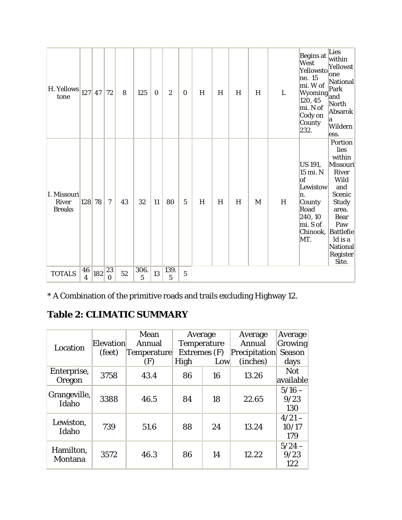| H. Yellows<br>tone                           | $127$ 47                      |     | 72             | 8  | 125       | $\bf{0}$ | $\boldsymbol{2}$ | $\bf{0}$       | H | H | H | H | L | Begins at<br>West<br>Yellowsto<br>ne. 15<br>mi. W of<br>Wyoming<br>120, 45<br>mi. N of<br>Cody on<br>County<br>232. | Lies<br>within<br>Yellowst<br>lone<br>National<br>Park<br>and<br>North<br>Absarok<br>a<br>Wildern<br>ess.                                                                                                          |
|----------------------------------------------|-------------------------------|-----|----------------|----|-----------|----------|------------------|----------------|---|---|---|---|---|---------------------------------------------------------------------------------------------------------------------|--------------------------------------------------------------------------------------------------------------------------------------------------------------------------------------------------------------------|
| I. Missouri<br><b>River</b><br><b>Breaks</b> | 128 78                        |     | 7              | 43 | 32        | 11       | 80               | $\overline{5}$ | H | H | H | M | H | US 191,<br>15 mi. N<br> of<br>Lewistow<br>n.<br>County<br>Road<br>240, 10<br>mi. S of<br>Chinook,<br>MT.            | Portion<br>lies<br>within<br><b>Missouri</b><br><b>River</b><br>Wild<br>and<br><b>Scenic</b><br><b>Study</b><br>area.<br><b>Bear</b><br>Paw<br><b>Battlefie</b><br>ld is a<br><b>National</b><br>Register<br>Site. |
| <b>TOTALS</b>                                | 46<br>$\overline{\mathbf{4}}$ | 182 | 23<br>$\Omega$ | 52 | 306.<br>5 | 13       | 139.<br>5        | $\overline{5}$ |   |   |   |   |   |                                                                                                                     |                                                                                                                                                                                                                    |

\* A Combination of the primitive roads and trails excluding Highway 12.

## **Table 2: CLIMATIC SUMMARY**

| Location              | Elevation<br>(feet) | Mean<br>Annual<br>Temperature | Average<br><b>Temperature</b><br>Extremes (F) |     | Average<br>Annual<br><b>Precipitation</b> | Average<br>Growing<br>Season |
|-----------------------|---------------------|-------------------------------|-----------------------------------------------|-----|-------------------------------------------|------------------------------|
|                       |                     | (F)                           | High                                          | Low | (inches)                                  | days                         |
| Enterprise,<br>Oregon | 3758                | 43.4                          | 86                                            | 16  | 13.26                                     | <b>Not</b><br>available      |
| Grangeville,<br>Idaho | 3388                | 46.5                          | 84                                            | 18  | 22.65                                     | $5/16 -$<br>9/23<br>130      |
| Lewiston,<br>Idaho    | 739                 | 51.6                          | 88                                            | 24  | 13.24                                     | $4/21-$<br>10/17<br>179      |
| Hamilton,<br>Montana  | 3572                | 46.3                          | 86                                            | 14  | 12.22                                     | $5/24 -$<br>9/23<br>122      |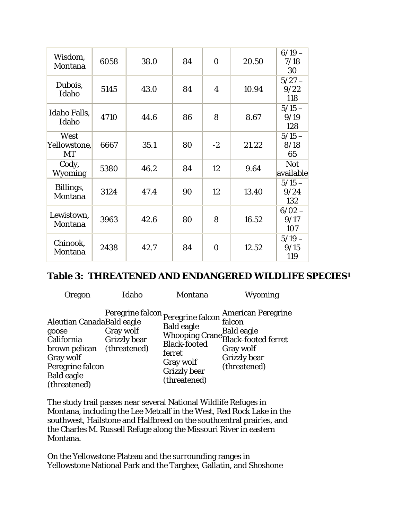| Wisdom,<br>Montana         | 6058 | 38.0 | 84 | $\mathbf{0}$ | 20.50 | $6/19 -$<br>7/18<br>30  |
|----------------------------|------|------|----|--------------|-------|-------------------------|
| Dubois,<br>Idaho           | 5145 | 43.0 | 84 | 4            | 10.94 | $5/27 -$<br>9/22<br>118 |
| Idaho Falls,<br>Idaho      | 4710 | 44.6 | 86 | 8            | 8.67  | $5/15 -$<br>9/19<br>128 |
| West<br>Yellowstone,<br>MT | 6667 | 35.1 | 80 | $-2$         | 21.22 | $5/15 -$<br>8/18<br>65  |
| Cody,<br><b>Wyoming</b>    | 5380 | 46.2 | 84 | 12           | 9.64  | <b>Not</b><br>available |
| Billings,<br>Montana       | 3124 | 47.4 | 90 | 12           | 13.40 | $5/15 -$<br>9/24<br>132 |
| Lewistown,<br>Montana      | 3963 | 42.6 | 80 | 8            | 16.52 | $6/02 -$<br>9/17<br>107 |
| Chinook,<br>Montana        | 2438 | 42.7 | 84 | $\mathbf{0}$ | 12.52 | $5/19-$<br>9/15<br>119  |

#### **Table 3: THREATENED AND ENDANGERED WILDLIFE SPECIES1**

| Oregon                                                                                                                                  | Idaho                                                                                 | Montana                                                                                                | <b>Wyoming</b>                                                                                                                              |
|-----------------------------------------------------------------------------------------------------------------------------------------|---------------------------------------------------------------------------------------|--------------------------------------------------------------------------------------------------------|---------------------------------------------------------------------------------------------------------------------------------------------|
| Aleutian CanadaBald eagle<br>goose<br>California<br>brown pelican<br>Gray wolf<br>Peregrine falcon<br><b>Bald eagle</b><br>(threatened) | Peregrine falcon Peregrine falcon<br>Gray wolf<br><b>Grizzly bear</b><br>(threatened) | <b>Bald eagle</b><br><b>Black-footed</b><br>ferret<br>Gray wolf<br><b>Grizzly</b> bear<br>(threatened) | <b>American Peregrine</b><br>falcon<br>Baid eagle<br>Whooping Crane Black-footed ferret<br>Gray wolf<br><b>Grizzly</b> bear<br>(threatened) |

The study trail passes near several National Wildlife Refuges in Montana, including the Lee Metcalf in the West, Red Rock Lake in the southwest, Hailstone and Halfbreed on the southcentral prairies, and the Charles M. Russell Refuge along the Missouri River in eastern Montana.

On the Yellowstone Plateau and the surrounding ranges in Yellowstone National Park and the Targhee, Gallatin, and Shoshone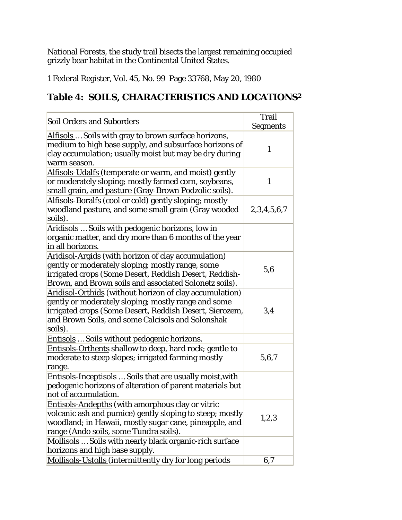National Forests, the study trail bisects the largest remaining occupied grizzly bear habitat in the Continental United States.

1 Federal Register, Vol. 45, No. 99 Page 33768, May 20, 1980

## **Table 4: SOILS, CHARACTERISTICS AND LOCATIONS2**

|                                                                                                                                                                                                                                           | <b>Trail</b>    |
|-------------------------------------------------------------------------------------------------------------------------------------------------------------------------------------------------------------------------------------------|-----------------|
| <b>Soil Orders and Suborders</b>                                                                                                                                                                                                          | <b>Segments</b> |
| Alfisols  Soils with gray to brown surface horizons,<br>medium to high base supply, and subsurface horizons of<br>clay accumulation; usually moist but may be dry during<br>warm season.                                                  | $\mathbf{1}$    |
| <b>Alfisols-Udalfs</b> (temperate or warm, and moist) gently<br>or moderately sloping; mostly farmed corn, soybeans,<br>small grain, and pasture (Gray-Brown Podzolic soils).                                                             | $\mathbf{1}$    |
| Alfisols-Boralfs (cool or cold) gently sloping; mostly<br>woodland pasture, and some small grain (Gray wooded<br>soils).                                                                                                                  | 2,3,4,5,6,7     |
| Aridisols  Soils with pedogenic horizons, low in<br>organic matter, and dry more than 6 months of the year<br>in all horizons.                                                                                                            |                 |
| Aridisol-Argids (with horizon of clay accumulation)<br>gently or moderately sloping; mostly range, some<br>irrigated crops (Some Desert, Reddish Desert, Reddish-<br>Brown, and Brown soils and associated Solonetz soils).               | 5,6             |
| Aridisol-Orthids (without horizon of clay accumulation)<br>gently or moderately sloping; mostly range and some<br>irrigated crops (Some Desert, Reddish Desert, Sierozem,<br>and Brown Soils, and some Calcisols and Solonshak<br>soils). | 3,4             |
| Entisols  Soils without pedogenic horizons.                                                                                                                                                                                               |                 |
| Entisols-Orthents shallow to deep, hard rock; gentle to<br>moderate to steep slopes; irrigated farming mostly<br>range.                                                                                                                   | 5,6,7           |
| <b>Entisols-Inceptisols</b> Soils that are usually moist, with<br>pedogenic horizons of alteration of parent materials but<br>not of accumulation.                                                                                        |                 |
| Entisols-Andepths (with amorphous clay or vitric<br>volcanic ash and pumice) gently sloping to steep; mostly<br>woodland; in Hawaii, mostly sugar cane, pineapple, and<br>range (Ando soils, some Tundra soils).                          | 1,2,3           |
| Mollisols  Soils with nearly black organic-rich surface<br>horizons and high base supply.                                                                                                                                                 |                 |
| Mollisols-Ustolls (intermittently dry for long periods                                                                                                                                                                                    | 6,7             |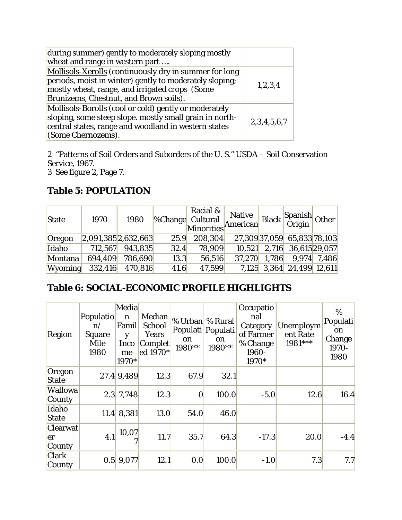| during summer) gently to moderately sloping mostly<br>wheat and range in western part                                                                                                                         |             |
|---------------------------------------------------------------------------------------------------------------------------------------------------------------------------------------------------------------|-------------|
| Mollisols-Xerolls (continuously dry in summer for long<br>periods, moist in winter) gently to moderately sloping;<br>mostly wheat, range, and irrigated crops (Some<br>Brunizems, Chestnut, and Brown soils). | 1,2,3,4     |
| Mollisols-Borolls (cool or cold) gently or moderately<br>sloping, some steep slope. mostly small grain in north-<br>central states, range and woodland in western states<br>(Some Chernozems).                | 2,3,4,5,6,7 |

2 "Patterns of Soil Orders and Suborders of the U. S." USDA – Soil Conservation Service, 1967.

3 See figure 2, Page 7.

## **Table 5: POPULATION**

| <b>State</b>   | 1970    | 1980                |      | Racial &<br><b>%Change</b> Cultural<br>Minorities | Native |       | Black Spanish Other          |               |
|----------------|---------|---------------------|------|---------------------------------------------------|--------|-------|------------------------------|---------------|
| Oregon         |         | 2,091,385 2,632,663 | 25.9 | 208,304                                           |        |       | 27,309 37,059 65,833 78,103  |               |
| Idaho          | 712,567 | 943,835             | 32.4 | 78,909                                            |        |       | $10,521$ 2,716 36,615 29,057 |               |
| Montana        | 694,409 | 786,690             | 13.3 | 56,516                                            | 37,270 | 1,786 |                              | $9,974$ 7,486 |
| <b>Wyoming</b> | 332,416 | 470,816             | 41.6 | 47,599                                            |        |       | 7,125 3,364 24,499 12,611    |               |

## **Table 6: SOCIAL-ECONOMIC PROFILE HIGHLIGHTS**

| Region                          | Populatio<br>$\mathbf{n}$<br><b>Square</b><br>Mile<br>1980 | Media<br>$\mathbf n$<br>Famil<br>y<br><b>Inco</b><br>me<br>1970* | Median<br>School<br>Years<br>Complet<br>ed 1970* | % Urban % Rural<br>on<br>1980** | Populati Populati<br>on<br>1980** | Occupatio<br>nal<br>Category<br>of Farmer<br>% Change<br>1960-<br>1970* | Unemploym<br>ent Rate<br>1981*** | $\%$<br>Populati<br>on<br>Change<br>1970-<br>1980 |
|---------------------------------|------------------------------------------------------------|------------------------------------------------------------------|--------------------------------------------------|---------------------------------|-----------------------------------|-------------------------------------------------------------------------|----------------------------------|---------------------------------------------------|
| Oregon<br><b>State</b>          |                                                            | 27.4 9,489                                                       | 12.3                                             | 67.9                            | 32.1                              |                                                                         |                                  |                                                   |
| <b>Wallowa</b><br><b>County</b> |                                                            | $2.3$ 7,748                                                      | 12.3                                             | $\boldsymbol{0}$                | 100.0                             | $-5.0$                                                                  | 12.6                             | 16.4                                              |
| Idaho<br><b>State</b>           |                                                            | $11.4$ 8,381                                                     | 13.0                                             | 54.0                            | 46.0                              |                                                                         |                                  |                                                   |
| <b>Clearwat</b><br>er<br>County | 4.1                                                        | 10,07                                                            | 11.7                                             | 35.7                            | 64.3                              | $-17.3$                                                                 | 20.0                             | $-4.4$                                            |
| <b>Clark</b><br>County          | 0.5                                                        | 9,077                                                            | 12.1                                             | 0.0                             | 100.0                             | $-1.0$                                                                  | 7.3                              | 7.7                                               |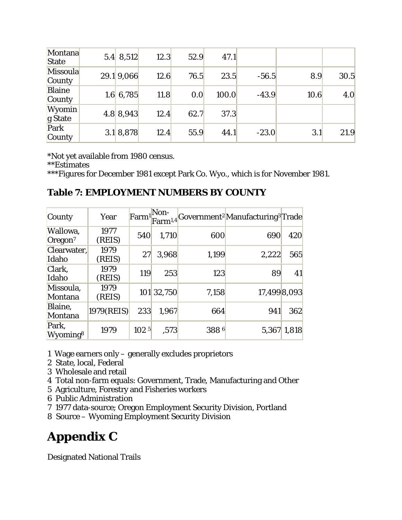| Montana<br><b>State</b>   | $5.4 \, 8.512$ | 12.3 | 52.9 | 47.1  |         |      |      |
|---------------------------|----------------|------|------|-------|---------|------|------|
| <b>Missoula</b><br>County | 29.1 9,066     | 12.6 | 76.5 | 23.5  | $-56.5$ | 8.9  | 30.5 |
| <b>Blaine</b><br>County   | 1.6 6,785      | 11.8 | 0.0  | 100.0 | $-43.9$ | 10.6 | 4.0  |
| <b>Wyomin</b><br>g State  | 4.8 8,943      | 12.4 | 62.7 | 37.3  |         |      |      |
| Park<br>County            | 3.1 8,878      | 12.4 | 55.9 | 44.1  | $-23.0$ | 3.1  | 21.9 |

\*Not yet available from 1980 census.

\*\*Estimates

\*\*\*Figures for December 1981 except Park Co. Wyo., which is for November 1981.

### **Table 7: EMPLOYMENT NUMBERS BY COUNTY**

| County                          | Year           | Farm <sup>1</sup> | Non-       |       | Farm <sup>1,4</sup> Government <sup>2</sup> Manufacturing <sup>3</sup> Trade |             |
|---------------------------------|----------------|-------------------|------------|-------|------------------------------------------------------------------------------|-------------|
| Wallowa,<br>Oregon <sup>7</sup> | 1977<br>(REIS) | 540               | 1,710      | 600   | 690                                                                          | 420         |
| Clearwater,<br>Idaho            | 1979<br>(REIS) | 27                | 3,968      | 1,199 | 2,222                                                                        | 565         |
| Clark,<br>Idaho                 | 1979<br>(REIS) | 119               | 253        | 123   | 89                                                                           | 41          |
| Missoula,<br>Montana            | 1979<br>(REIS) |                   | 101 32,750 | 7,158 | 17,499 8,093                                                                 |             |
| Blaine,<br>Montana              | 1979(REIS)     | 233               | 1,967      | 664   | 941                                                                          | 362         |
| Park,<br>Wyoming <sup>8</sup>   | 1979           | 102 <sup>5</sup>  | ,573       | 3886  |                                                                              | 5,367 1,818 |

1 Wage earners only – generally excludes proprietors

- 2 State, local, Federal
- 3 Wholesale and retail
- 4 Total non-farm equals: Government, Trade, Manufacturing and Other
- 5 Agriculture, Forestry and Fisheries workers
- 6 Public Administration
- 7 1977 data-source; Oregon Employment Security Division, Portland
- 8 Source Wyoming Employment Security Division

## **Appendix C**

Designated National Trails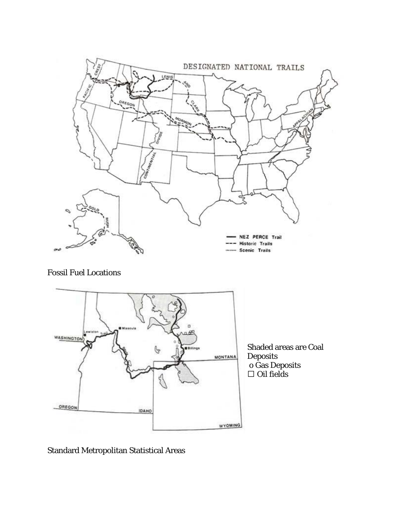

Fossil Fuel Locations



Standard Metropolitan Statistical Areas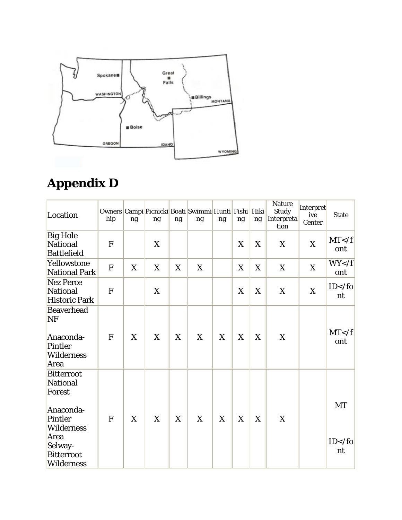

# **Appendix D**

| Location                                                                                                                                          | hip          | ng | ng | ng | Owners Campi Picnicki Boati Swimmi Hunti Fishi Hiki<br>ng | ng | ng | ng | <b>Nature</b><br><b>Study</b><br>Interpreta<br>tion | <b>Interpret</b><br>ive<br>Center | <b>State</b>         |
|---------------------------------------------------------------------------------------------------------------------------------------------------|--------------|----|----|----|-----------------------------------------------------------|----|----|----|-----------------------------------------------------|-----------------------------------|----------------------|
| <b>Big Hole</b><br>National<br><b>Battlefield</b>                                                                                                 | F            |    | X  |    |                                                           |    | X  | X  | X                                                   | X                                 | MT < f<br>ont        |
| Yellowstone<br><b>National Park</b>                                                                                                               | $\mathbf{F}$ | X  | X  | X  | X                                                         |    | X  | X  | X                                                   | X                                 | WY < f<br>ont        |
| Nez Perce<br>National<br><b>Historic Park</b>                                                                                                     | F            |    | X  |    |                                                           |    | X  | X  | X                                                   | $\mathbf X$                       | $ID$ nt              |
| <b>Beaverhead</b><br>NF<br>Anaconda-<br>Pintler<br><b>Wilderness</b><br>Area                                                                      | F            | X  | X  | X  | X                                                         | X  | X  | X  | X                                                   |                                   | MT < f<br>ont        |
| <b>Bitterroot</b><br>National<br>Forest<br>Anaconda-<br>Pintler<br><b>Wilderness</b><br>Area<br>Selway-<br><b>Bitterroot</b><br><b>Wilderness</b> | F            | X  | X  | X  | X                                                         | X  | X  | X  | X                                                   |                                   | <b>MT</b><br>$ID$ nt |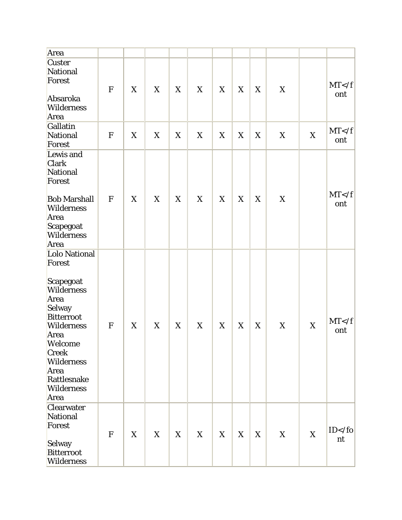| Area                                                                                                                                                                                                                |              |             |   |   |   |             |   |             |   |   |               |
|---------------------------------------------------------------------------------------------------------------------------------------------------------------------------------------------------------------------|--------------|-------------|---|---|---|-------------|---|-------------|---|---|---------------|
| <b>Custer</b><br>National<br>Forest<br>Absaroka<br>Wilderness<br>Area                                                                                                                                               | ${\bf F}$    | X           | X | X | X | X           | X | X           | X |   | MT < f<br>ont |
| Gallatin<br>National<br>Forest                                                                                                                                                                                      | F            | $\mathbf X$ | X | X | X | $\mathbf X$ | X | $\mathbf X$ | X | X | MT < f<br>ont |
| Lewis and<br><b>Clark</b><br>National<br>Forest<br><b>Bob Marshall</b><br><b>Wilderness</b><br>Area<br>Scapegoat<br><b>Wilderness</b><br>Area                                                                       | F            | X           | X | X | X | X           | X | X           | X |   | MT < f<br>ont |
| Lolo National<br>Forest<br>Scapegoat<br>Wilderness<br>Area<br>Selway<br><b>Bitterroot</b><br><b>Wilderness</b><br>Area<br>Welcome<br><b>Creek</b><br><b>Wilderness</b><br>Area<br>Rattlesnake<br>Wilderness<br>Area | F            | X           | X | X | X | X           | X | X           | X | X | MT < f<br>ont |
| <b>Clearwater</b><br>National<br>Forest<br>Selway<br><b>Bitterroot</b><br>Wilderness                                                                                                                                | $\mathbf{F}$ | X           | X | X | X | X           | X | X           | X | X | $ID$ nt       |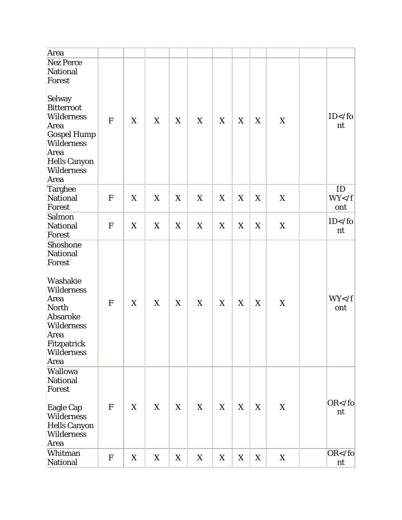| Area                                                                                                                                                                                 |             |             |   |             |             |             |   |   |             |                     |
|--------------------------------------------------------------------------------------------------------------------------------------------------------------------------------------|-------------|-------------|---|-------------|-------------|-------------|---|---|-------------|---------------------|
| <b>Nez Perce</b><br>National<br>Forest<br>Selway<br><b>Bitterroot</b><br>Wilderness<br>Area<br><b>Gospel Hump</b><br>Wilderness<br>Area<br>Hells Canyon<br><b>Wilderness</b><br>Area | F           | $\mathbf X$ | X | X           | $\mathbf X$ | X           | X | X | $\mathbf X$ | $ID$ nt             |
| Targhee<br>National<br>Forest                                                                                                                                                        | ${\bf F}$   | X           | X | X           | X           | X           | X | X | X           | ID<br>WY < f<br>ont |
| Salmon<br>National<br>Forest                                                                                                                                                         | ${\bf F}$   | X           | X | X           | X           | X           | X | X | X           | $ID$ nt             |
| Shoshone<br>National<br>Forest<br>Washakie<br>Wilderness<br>Area<br>North<br>Absaroke<br><b>Wilderness</b><br>Area<br>Fitzpatrick<br>Wilderness<br>Area                              | ${\bf F}$   | X           | X | $\mathbf X$ | X           | $\mathbf X$ | X | X | X           | WY < f<br>ont       |
| <b>Wallowa</b><br>National<br>Forest<br>Eagle Cap<br><b>Wilderness</b><br><b>Hells Canyon</b><br>Wilderness<br>Area                                                                  | $\mathbf F$ | X           | X | X           | X           | X           | X | X | X           | $OR <$ /fo<br>nt    |
| Whitman<br>National                                                                                                                                                                  | ${\bf F}$   | X           | X | X           | X           | X           | X | X | X           | $OR <$ /fo<br>nt    |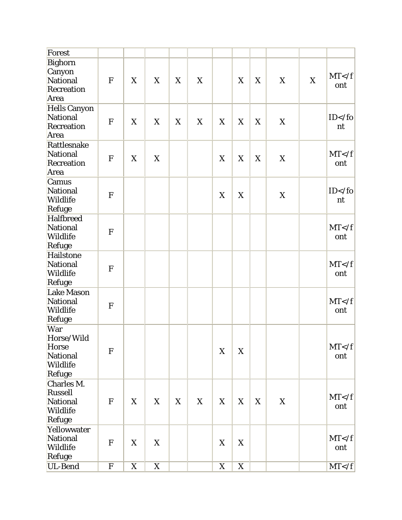| Forest                                                                     |              |   |             |             |   |             |             |             |             |   |               |
|----------------------------------------------------------------------------|--------------|---|-------------|-------------|---|-------------|-------------|-------------|-------------|---|---------------|
| Bighorn<br>Canyon<br><b>National</b><br>Recreation                         | F            | X | X           | X           | X |             | X           | X           | X           | X | MT < f<br>ont |
| Area                                                                       |              |   |             |             |   |             |             |             |             |   |               |
| <b>Hells Canyon</b><br>National<br>Recreation<br>Area                      | F            | X | X           | X           | X | X           | X           | X           | X           |   | $ID$ nt       |
| Rattlesnake<br><b>National</b><br>Recreation<br>Area                       | $\mathbf F$  | X | X           |             |   | X           | X           | X           | X           |   | MT < f<br>ont |
| Camus<br>National<br>Wildlife<br>Refuge                                    | F            |   |             |             |   | X           | X           |             | X           |   | $ID$ nt       |
| <b>Halfbreed</b><br>National<br>Wildlife<br>Refuge                         | $\mathbf F$  |   |             |             |   |             |             |             |             |   | MT < f<br>ont |
| Hailstone<br>National<br>Wildlife<br>Refuge                                | F            |   |             |             |   |             |             |             |             |   | MT < f<br>ont |
| <b>Lake Mason</b><br>National<br>Wildlife<br>Refuge                        | $\mathbf F$  |   |             |             |   |             |             |             |             |   | MT < f<br>ont |
| War<br>Horse/Wild<br><b>Horse</b><br>National<br><b>Wildlife</b><br>Refuge | ${\bf F}$    |   |             |             |   | X           | X           |             |             |   | MT < f<br>ont |
| Charles M.<br><b>Russell</b><br>National<br><b>Wildlife</b><br>Refuge      | ${\bf F}$    | X | X           | $\mathbf X$ | X | X           | X           | $\mathbf X$ | $\mathbf X$ |   | MT < f<br>ont |
| Yellowwater<br>National<br><b>Wildlife</b><br>Refuge                       | $\mathbf{F}$ | X | X           |             |   | $\mathbf X$ | X           |             |             |   | MT < f<br>ont |
| UL-Bend                                                                    | ${\bf F}$    | X | $\mathbf X$ |             |   | X           | $\mathbf X$ |             |             |   | MT < f        |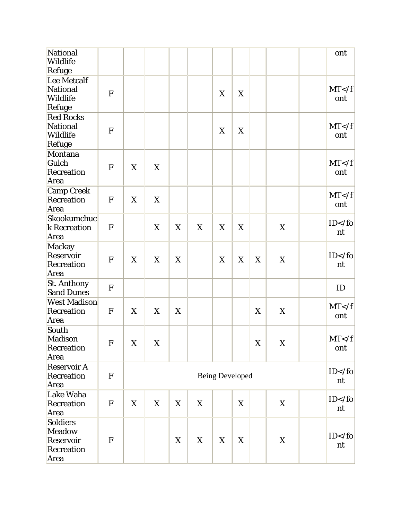| National<br>Wildlife<br>Refuge                               |              |             |             |   |             |                        |   |             |             | ont            |
|--------------------------------------------------------------|--------------|-------------|-------------|---|-------------|------------------------|---|-------------|-------------|----------------|
| Lee Metcalf<br>National<br><b>Wildlife</b><br>Refuge         | F            |             |             |   |             | X                      | X |             |             | MT < f<br>ont  |
| <b>Red Rocks</b><br>National<br>Wildlife<br>Refuge           | $\mathbf F$  |             |             |   |             | X                      | X |             |             | MT < f<br>ont  |
| Montana<br>Gulch<br>Recreation<br>Area                       | $\mathbf F$  | X           | X           |   |             |                        |   |             |             | MT < f<br>ont  |
| <b>Camp Creek</b><br>Recreation<br>Area                      | F            | X           | X           |   |             |                        |   |             |             | MT < f<br>ont  |
| Skookumchuc<br>k Recreation<br>Area                          | $\mathbf F$  |             | X           | X | $\mathbf X$ | X                      | X |             | X           | $ID$ nt        |
| Mackay<br>Reservoir<br>Recreation<br>Area                    | F            | X           | X           | X |             | X                      | X | X           | X           | $ID$ nt        |
| <b>St. Anthony</b><br><b>Sand Dunes</b>                      | $\mathbf{F}$ |             |             |   |             |                        |   |             |             | ID             |
| <b>West Madison</b><br>Recreation<br>Area                    | $\mathbf F$  | X           | X           | X |             |                        |   | X           | X           | MT < f<br>ont  |
| South<br><b>Madison</b><br>Recreation<br>Area                | ${\bf F}$    | $\mathbf X$ | $\mathbf X$ |   |             |                        |   | $\mathbf X$ | $\mathbf X$ | MT < f<br>ont  |
| <b>Reservoir A</b><br>Recreation<br>Area                     | $\mathbf{F}$ |             |             |   |             | <b>Being Developed</b> |   |             |             | $ID$ nt        |
| Lake Waha<br>Recreation<br>Area                              | $\mathbf{F}$ | X           | X           | X | X           |                        | X |             | X           | $ID$ nt        |
| Soldiers<br><b>Meadow</b><br>Reservoir<br>Recreation<br>Area | F            |             |             | X | X           | X                      | X |             | X           | $ID$ /fo<br>nt |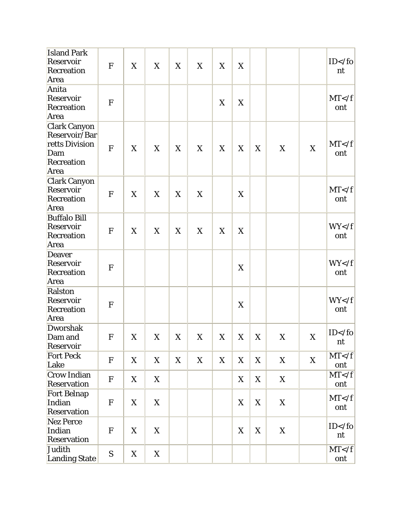| <b>Island Park</b><br>Reservoir<br>Recreation<br>Area                               | ${\bf F}$    | X | X | X | X | X | X |   |   |             | $ID$ /fo<br>nt |
|-------------------------------------------------------------------------------------|--------------|---|---|---|---|---|---|---|---|-------------|----------------|
| Anita<br>Reservoir<br>Recreation<br>Area                                            | F            |   |   |   |   | X | X |   |   |             | MT < f<br>ont  |
| <b>Clark Canyon</b><br>Reservoir/Bar<br>retts Division<br>Dam<br>Recreation<br>Area | ${\bf F}$    | X | X | X | X | X | X | X | X | X           | MT < f<br>ont  |
| <b>Clark Canyon</b><br><b>Reservoir</b><br>Recreation<br>Area                       | F            | X | X | X | X |   | X |   |   |             | MT < f<br>ont  |
| <b>Buffalo Bill</b><br><b>Reservoir</b><br><b>Recreation</b><br>Area                | $\mathbf{F}$ | X | X | X | X | X | X |   |   |             | WY < f<br>ont  |
| <b>Deaver</b><br>Reservoir<br>Recreation<br>Area                                    | F            |   |   |   |   |   | X |   |   |             | WY < f<br>ont  |
| Ralston<br>Reservoir<br>Recreation<br>Area                                          | $\mathbf F$  |   |   |   |   |   | X |   |   |             | WY < f<br>ont  |
| <b>Dworshak</b><br>Dam and<br>Reservoir                                             | F            | X | X | X | X | X | X | X | X | $\mathbf X$ | $ID$ nt        |
| <b>Fort Peck</b><br>Lake                                                            | $\mathbf F$  | X | X | X | X | X | X | X | X | X           | MT < f<br>ont  |
| <b>Crow Indian</b><br><b>Reservation</b>                                            | $\mathbf{F}$ | X | X |   |   |   | X | X | X |             | MT < f<br>ont  |
| <b>Fort Belnap</b><br>Indian<br><b>Reservation</b>                                  | $\mathbf F$  | X | X |   |   |   | X | X | X |             | MT < f<br>ont  |
| <b>Nez Perce</b><br>Indian<br><b>Reservation</b>                                    | $\mathbf{F}$ | X | X |   |   |   | X | X | X |             | $ID$ nt        |
| Judith<br><b>Landing State</b>                                                      | S            | X | X |   |   |   |   |   |   |             | MT < f<br>ont  |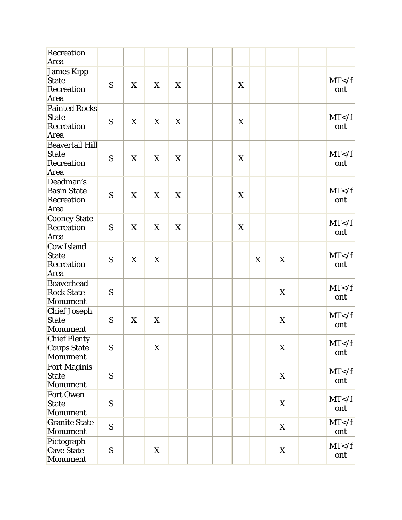| Recreation<br>Area                                           |   |   |   |   |  |   |   |   |               |
|--------------------------------------------------------------|---|---|---|---|--|---|---|---|---------------|
| James Kipp<br>State<br><b>Recreation</b><br>Area             | S | X | X | X |  | X |   |   | MT < f<br>ont |
| <b>Painted Rocks</b><br><b>State</b><br>Recreation<br>Area   | S | X | X | X |  | X |   |   | MT < f<br>ont |
| <b>Beavertail Hill</b><br><b>State</b><br>Recreation<br>Area | S | X | X | X |  | X |   |   | MT < f<br>ont |
| Deadman's<br><b>Basin State</b><br>Recreation<br>Area        | S | X | X | X |  | X |   |   | MT < f<br>ont |
| <b>Cooney State</b><br>Recreation<br>Area                    | S | X | X | X |  | X |   |   | MT < f<br>ont |
| <b>Cow Island</b><br><b>State</b><br>Recreation<br>Area      | S | X | X |   |  |   | X | X | MT < f<br>ont |
| <b>Beaverhead</b><br><b>Rock State</b><br>Monument           | S |   |   |   |  |   |   | X | MT < f<br>ont |
| <b>Chief Joseph</b><br><b>State</b><br>Monument              | S | X | X |   |  |   |   | X | MT < f<br>ont |
| <b>Chief Plenty</b><br>Coups State<br>Monument               | S |   | X |   |  |   |   | X | MT < f<br>ont |
| <b>Fort Maginis</b><br><b>State</b><br>Monument              | S |   |   |   |  |   |   | X | MT < f<br>ont |
| <b>Fort Owen</b><br><b>State</b><br>Monument                 | S |   |   |   |  |   |   | X | MT < f<br>ont |
| <b>Granite State</b><br>Monument                             | S |   |   |   |  |   |   | X | MT < f<br>ont |
| Pictograph<br><b>Cave State</b><br>Monument                  | S |   | X |   |  |   |   | X | MT < f<br>ont |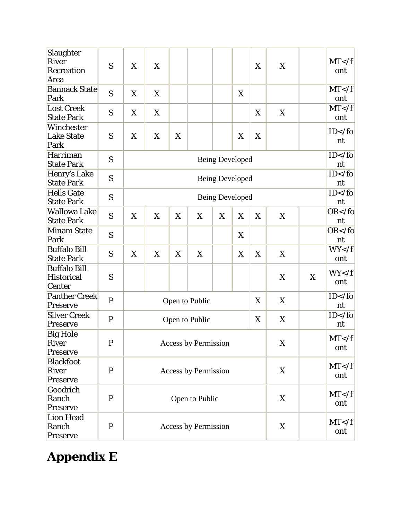| Slaughter<br><b>River</b><br>Recreation<br>Area    | S            | X                           | X               |   |                             |   |   | X           | X           |   | MT < f<br>ont    |
|----------------------------------------------------|--------------|-----------------------------|-----------------|---|-----------------------------|---|---|-------------|-------------|---|------------------|
| <b>Bannack State</b><br>Park                       | S            | X                           | X               |   |                             |   | X |             |             |   | MT < f<br>ont    |
| <b>Lost Creek</b><br><b>State Park</b>             | S            | X                           | X               |   |                             |   |   | X           | X           |   | MT < f<br>ont    |
| Winchester<br><b>Lake State</b><br>Park            | S            | X                           | X               | X |                             |   | X | $\mathbf X$ |             |   | $ID$ nt          |
| Harriman<br><b>State Park</b>                      | S            |                             | Being Developed |   |                             |   |   |             |             |   | $ID$ nt          |
| Henry's Lake<br><b>State Park</b>                  | S            |                             |                 |   | <b>Being Developed</b>      |   |   | $ID$ nt     |             |   |                  |
| <b>Hells Gate</b><br><b>State Park</b>             | S            |                             |                 |   | <b>Being Developed</b>      |   |   | $ID$ nt     |             |   |                  |
| <b>Wallowa Lake</b><br><b>State Park</b>           | S            | X                           | X               | X | X                           | X | X | X           | X           |   | $OR <$ /fo<br>nt |
| <b>Minam State</b><br>Park                         | S            |                             |                 |   |                             |   | X |             |             |   | $OR <$ /fo<br>nt |
| <b>Buffalo Bill</b><br><b>State Park</b>           | S            | X                           | X               | X | X                           |   | X | X           | X           |   | WY < f<br>ont    |
| <b>Buffalo Bill</b><br><b>Historical</b><br>Center | S            |                             |                 |   |                             |   |   |             | X           | X | WY < f<br>ont    |
| <b>Panther Creek</b><br>Preserve                   | $\mathbf{P}$ |                             |                 |   | Open to Public              |   |   | X           | X           |   | $ID$ nt          |
| <b>Silver Creek</b><br>Preserve                    | $\mathbf{P}$ |                             |                 |   | Open to Public              |   |   | X           | X           |   | $ID$ nt          |
| <b>Big Hole</b><br>River<br>Preserve               | P            |                             |                 |   | Access by Permission        |   |   |             | $\mathbf X$ |   | MT < f<br>ont    |
| <b>Blackfoot</b><br><b>River</b><br>Preserve       | $\mathbf P$  | <b>Access by Permission</b> |                 |   |                             |   |   |             | X           |   | MT < f<br>ont    |
| Goodrich<br>Ranch<br>Preserve                      | $\mathbf{P}$ |                             |                 |   | Open to Public              |   |   |             | X           |   | MT < f<br>ont    |
| Lion Head<br>Ranch<br>Preserve                     | $\mathbf P$  |                             |                 |   | <b>Access by Permission</b> |   |   |             | X           |   | MT < f<br>ont    |

# **Appendix E**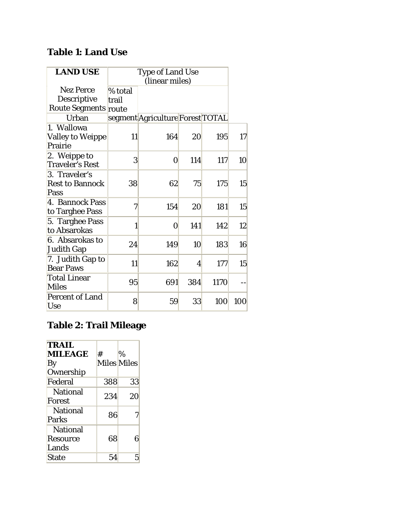## **Table 1: Land Use**

| <b>LAND USE</b>                                         |                  | <b>Type of Land Use</b><br>(linear miles) |     |      |     |
|---------------------------------------------------------|------------------|-------------------------------------------|-----|------|-----|
| <b>Nez Perce</b><br>Descriptive<br>Route Segments route | % total<br>trail |                                           |     |      |     |
| Urban                                                   |                  | segment Agriculture Forest TOTAL          |     |      |     |
| 1. Wallowa<br><b>Valley to Weippe</b><br>Prairie        | <b>11</b>        | 164                                       | 20  | 195  | 17  |
| 2. Weippe to<br><b>Traveler's Rest</b>                  | 3                | 0                                         | 114 | 117  | 10  |
| 3. Traveler's<br><b>Rest to Bannock</b><br>Pass         | 38               | 62                                        | 75  | 175  | 15  |
| 4. Bannock Pass<br>to Targhee Pass                      | 7                | 154                                       | 20  | 181  | 15  |
| 5. Targhee Pass<br>to Absarokas                         | 1                | $\bf{0}$                                  | 141 | 142  | 12  |
| 6. Absarokas to<br><b>Judith Gap</b>                    | 24               | 149                                       | 10  | 183  | 16  |
| 7. Judith Gap to<br><b>Bear Paws</b>                    | 11               | 162                                       | 4   | 177  | 15  |
| <b>Total Linear</b><br><b>Miles</b>                     | 95               | 691                                       | 384 | 1170 |     |
| <b>Percent of Land</b><br><b>Use</b>                    | 8                | 59                                        | 33  | 100  | 100 |

## **Table 2: Trail Mileage**

| <b>TRAIL</b><br><b>MILEAGE</b><br>By        | #<br><b>Miles Miles</b> | $\%$ |
|---------------------------------------------|-------------------------|------|
| Ownership                                   |                         |      |
| Federal                                     | 388                     | 33   |
| <b>National</b><br>Forest                   | 234                     | 20   |
| <b>National</b><br><b>Parks</b>             | 86                      | 7    |
| <b>National</b><br><b>Resource</b><br>Lands | 68                      | 6    |
| <b>State</b>                                | 54                      | 5    |